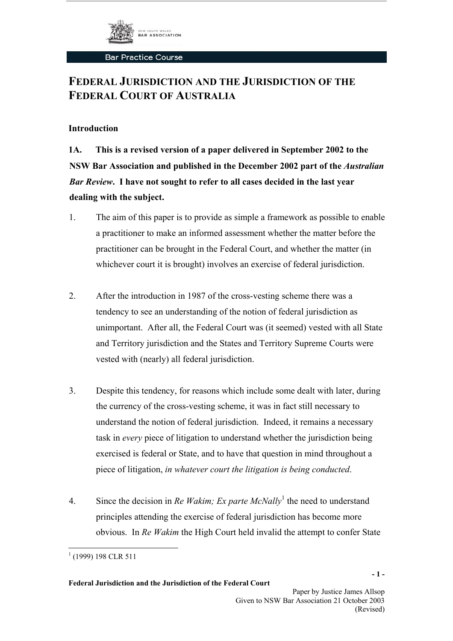

# **FEDERAL JURISDICTION AND THE JURISDICTION OF THE FEDERAL COURT OF AUSTRALIA**

### **Introduction**

**1A. This is a revised version of a paper delivered in September 2002 to the NSW Bar Association and published in the December 2002 part of the** *Australian Bar Review***. I have not sought to refer to all cases decided in the last year dealing with the subject.** 

- 1. The aim of this paper is to provide as simple a framework as possible to enable a practitioner to make an informed assessment whether the matter before the practitioner can be brought in the Federal Court, and whether the matter (in whichever court it is brought) involves an exercise of federal jurisdiction.
- 2. After the introduction in 1987 of the cross-vesting scheme there was a tendency to see an understanding of the notion of federal jurisdiction as unimportant. After all, the Federal Court was (it seemed) vested with all State and Territory jurisdiction and the States and Territory Supreme Courts were vested with (nearly) all federal jurisdiction.
- 3. Despite this tendency, for reasons which include some dealt with later, during the currency of the cross-vesting scheme, it was in fact still necessary to understand the notion of federal jurisdiction. Indeed, it remains a necessary task in *every* piece of litigation to understand whether the jurisdiction being exercised is federal or State, and to have that question in mind throughout a piece of litigation, *in whatever court the litigation is being conducted*.
- 4. Since the decision in *Re Wakim; Ex parte McNally*<sup>[1](#page-0-0)</sup> the need to understand principles attending the exercise of federal jurisdiction has become more obvious. In *Re Wakim* the High Court held invalid the attempt to confer State

**- 1 -**

<span id="page-0-0"></span> $(1999)$  198 CLR 511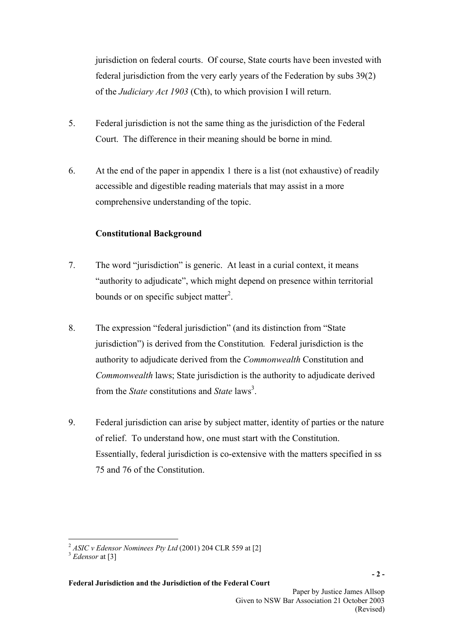jurisdiction on federal courts. Of course, State courts have been invested with federal jurisdiction from the very early years of the Federation by subs 39(2) of the *Judiciary Act 1903* (Cth), to which provision I will return.

- 5. Federal jurisdiction is not the same thing as the jurisdiction of the Federal Court. The difference in their meaning should be borne in mind.
- 6. At the end of the paper in appendix 1 there is a list (not exhaustive) of readily accessible and digestible reading materials that may assist in a more comprehensive understanding of the topic.

# **Constitutional Background**

- 7. The word "jurisdiction" is generic. At least in a curial context, it means "authority to adjudicate", which might depend on presence within territorial bounds or on specific subject matter<sup>2</sup>.
- 8. The expression "federal jurisdiction" (and its distinction from "State jurisdiction") is derived from the Constitution*.* Federal jurisdiction is the authority to adjudicate derived from the *Commonwealth* Constitution and *Commonwealth* laws; State jurisdiction is the authority to adjudicate derived from the *State* constitutions and *State* laws<sup>3</sup>.
- 9. Federal jurisdiction can arise by subject matter, identity of parties or the nature of relief. To understand how, one must start with the Constitution. Essentially, federal jurisdiction is co-extensive with the matters specified in ss 75 and 76 of the Constitution.

<span id="page-1-0"></span><sup>2</sup> *ASIC v Edensor Nominees Pty Ltd* (2001) 204 CLR 559 at [2]

<span id="page-1-1"></span><sup>3</sup> *Edensor* at [3]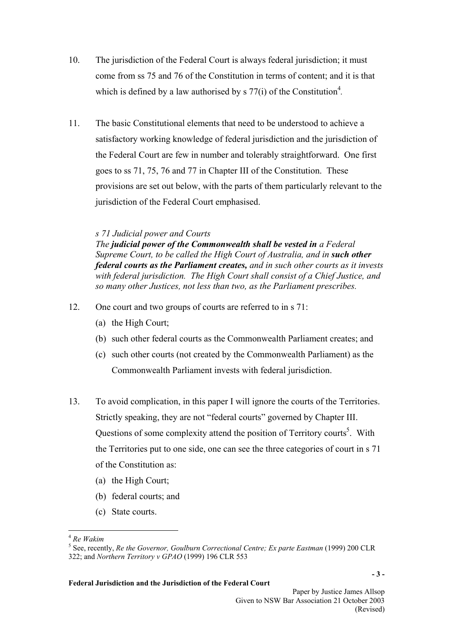- 10. The jurisdiction of the Federal Court is always federal jurisdiction; it must come from ss 75 and 76 of the Constitution in terms of content; and it is that which is defined by a law authorised by  $\frac{s}{77(i)}$  of the Constitution<sup>4</sup>.
- 11. The basic Constitutional elements that need to be understood to achieve a satisfactory working knowledge of federal jurisdiction and the jurisdiction of the Federal Court are few in number and tolerably straightforward. One first goes to ss 71, 75, 76 and 77 in Chapter III of the Constitution. These provisions are set out below, with the parts of them particularly relevant to the jurisdiction of the Federal Court emphasised.

### *s 71 Judicial power and Courts*

*The judicial power of the Commonwealth shall be vested in a Federal Supreme Court, to be called the High Court of Australia, and in <i>such other federal courts as the Parliament creates, and in such other courts as it invests with federal jurisdiction. The High Court shall consist of a Chief Justice, and so many other Justices, not less than two, as the Parliament prescribes.* 

- 12. One court and two groups of courts are referred to in s 71:
	- (a) the High Court;
	- (b) such other federal courts as the Commonwealth Parliament creates; and
	- (c) such other courts (not created by the Commonwealth Parliament) as the Commonwealth Parliament invests with federal jurisdiction.
- 13. To avoid complication, in this paper I will ignore the courts of the Territories. Strictly speaking, they are not "federal courts" governed by Chapter III. Questions of some complexity attend the position of Territory courts<sup>5</sup>. With the Territories put to one side, one can see the three categories of court in s 71 of the Constitution as:
	- (a) the High Court;
	- (b) federal courts; and
	- (c) State courts.

 $\overline{a}$ 

<span id="page-2-0"></span><sup>&</sup>lt;sup>4</sup> *Re Wakim*<br><sup>5</sup> Soo room

<span id="page-2-1"></span><sup>&</sup>lt;sup>5</sup> See, recently, *Re the Governor, Goulburn Correctional Centre; Ex parte Eastman* (1999) 200 CLR 322; and *Northern Territory v GPAO* (1999) 196 CLR 553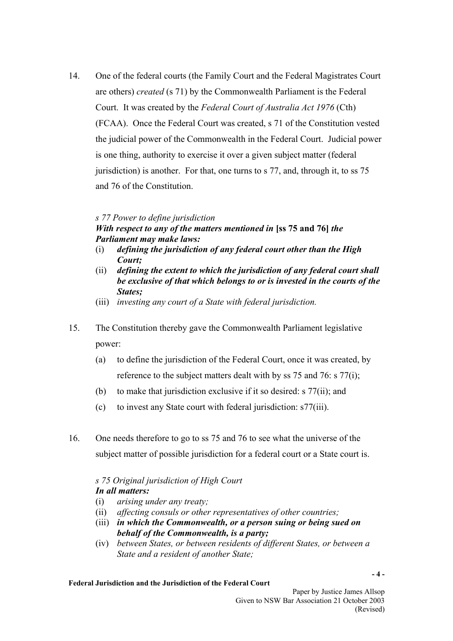14. One of the federal courts (the Family Court and the Federal Magistrates Court are others) *created* (s 71) by the Commonwealth Parliament is the Federal Court. It was created by the *Federal Court of Australia Act 1976* (Cth) (FCAA). Once the Federal Court was created, s 71 of the Constitution vested the judicial power of the Commonwealth in the Federal Court. Judicial power is one thing, authority to exercise it over a given subject matter (federal jurisdiction) is another. For that, one turns to s 77, and, through it, to ss 75 and 76 of the Constitution.

### *s 77 Power to define jurisdiction*

## *With respect to any of the matters mentioned in* **[ss 75 and 76]** *the Parliament may make laws:*

- (i) *defining the jurisdiction of any federal court other than the High Court;*
- (ii) *defining the extent to which the jurisdiction of any federal court shall be exclusive of that which belongs to or is invested in the courts of the States;*
- (iii) *investing any court of a State with federal jurisdiction.*
- 15. The Constitution thereby gave the Commonwealth Parliament legislative power:
	- (a) to define the jurisdiction of the Federal Court, once it was created, by reference to the subject matters dealt with by ss 75 and 76: s 77(i);
	- (b) to make that jurisdiction exclusive if it so desired: s 77(ii); and
	- (c) to invest any State court with federal jurisdiction: s77(iii).
- 16. One needs therefore to go to ss 75 and 76 to see what the universe of the subject matter of possible jurisdiction for a federal court or a State court is.

### *s 75 Original jurisdiction of High Court In all matters:*

- (i) *arising under any treaty;*
- (ii) *affecting consuls or other representatives of other countries;*
- (iii) *in which the Commonwealth, or a person suing or being sued on behalf of the Commonwealth, is a party;*
- (iv) *between States, or between residents of different States, or between a State and a resident of another State;*

#### **Federal Jurisdiction and the Jurisdiction of the Federal Court**

**- 4 -**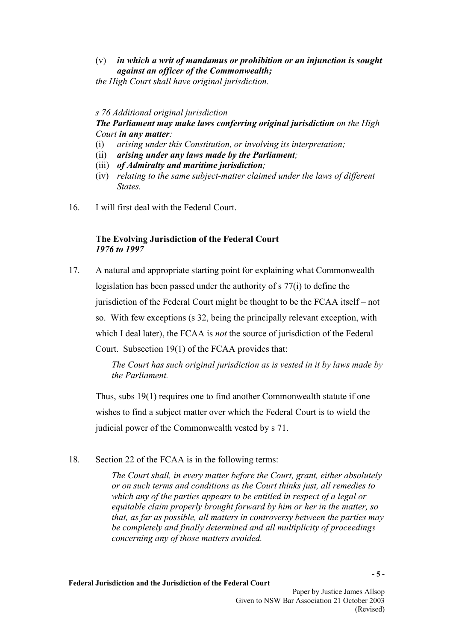# (v) *in which a writ of mandamus or prohibition or an injunction is sought against an officer of the Commonwealth;*

*the High Court shall have original jurisdiction.* 

## *s 76 Additional original jurisdiction*

# *The Parliament may make laws conferring original jurisdiction on the High Court in any matter:*

- (i) *arising under this Constitution, or involving its interpretation;*
- (ii) *arising under any laws made by the Parliament;*
- (iii) *of Admiralty and maritime jurisdiction;*
- (iv) *relating to the same subject-matter claimed under the laws of different States.*
- 16. I will first deal with the Federal Court.

## **The Evolving Jurisdiction of the Federal Court**  *1976 to 1997*

17. A natural and appropriate starting point for explaining what Commonwealth legislation has been passed under the authority of s 77(i) to define the jurisdiction of the Federal Court might be thought to be the FCAA itself – not so. With few exceptions (s 32, being the principally relevant exception, with which I deal later), the FCAA is *not* the source of jurisdiction of the Federal Court. Subsection 19(1) of the FCAA provides that:

> *The Court has such original jurisdiction as is vested in it by laws made by the Parliament.*

 Thus, subs 19(1) requires one to find another Commonwealth statute if one wishes to find a subject matter over which the Federal Court is to wield the judicial power of the Commonwealth vested by s 71.

18. Section 22 of the FCAA is in the following terms:

*The Court shall, in every matter before the Court, grant, either absolutely or on such terms and conditions as the Court thinks just, all remedies to which any of the parties appears to be entitled in respect of a legal or equitable claim properly brought forward by him or her in the matter, so that, as far as possible, all matters in controversy between the parties may be completely and finally determined and all multiplicity of proceedings concerning any of those matters avoided.*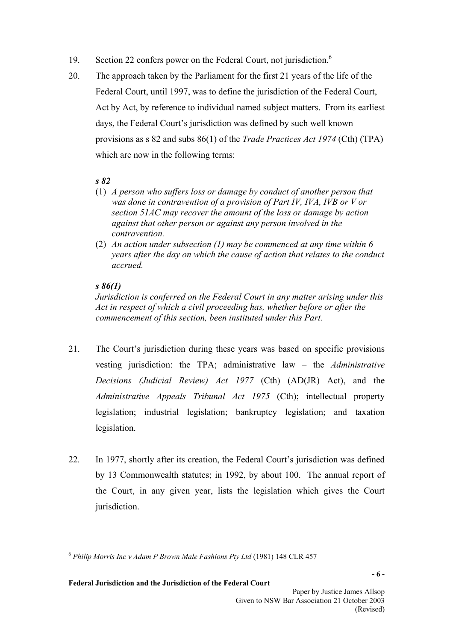- 19. Section 22 confers power on the Federal Court, not jurisdiction.<sup>6</sup>
- 20. The approach taken by the Parliament for the first 21 years of the life of the Federal Court, until 1997, was to define the jurisdiction of the Federal Court, Act by Act, by reference to individual named subject matters. From its earliest days, the Federal Court's jurisdiction was defined by such well known provisions as s 82 and subs 86(1) of the *Trade Practices Act 1974* (Cth) (TPA) which are now in the following terms:

# *s 82*

- (1) *A person who suffers loss or damage by conduct of another person that was done in contravention of a provision of Part IV, IVA, IVB or V or section 51AC may recover the amount of the loss or damage by action against that other person or against any person involved in the contravention.*
- (2) *An action under subsection (1) may be commenced at any time within 6 years after the day on which the cause of action that relates to the conduct accrued.*

# *s 86(1)*

*Jurisdiction is conferred on the Federal Court in any matter arising under this Act in respect of which a civil proceeding has, whether before or after the commencement of this section, been instituted under this Part.* 

- 21. The Court's jurisdiction during these years was based on specific provisions vesting jurisdiction: the TPA; administrative law – the *Administrative Decisions (Judicial Review) Act 1977* (Cth) (AD(JR) Act), and the *Administrative Appeals Tribunal Act 1975* (Cth); intellectual property legislation; industrial legislation; bankruptcy legislation; and taxation legislation.
- 22. In 1977, shortly after its creation, the Federal Court's jurisdiction was defined by 13 Commonwealth statutes; in 1992, by about 100. The annual report of the Court, in any given year, lists the legislation which gives the Court jurisdiction.

<span id="page-5-0"></span> $\overline{a}$ <sup>6</sup> *Philip Morris Inc v Adam P Brown Male Fashions Pty Ltd* (1981) 148 CLR 457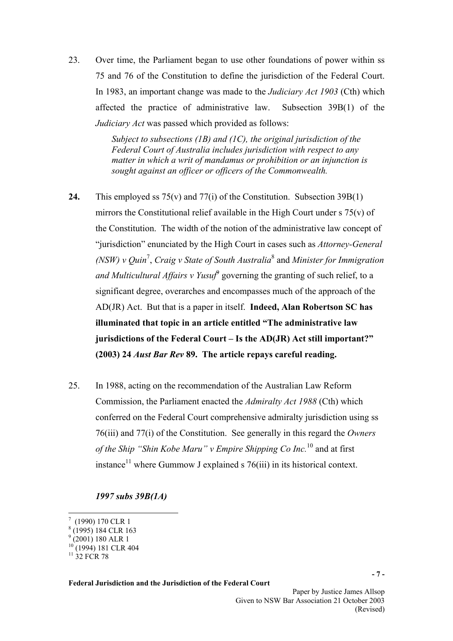23. Over time, the Parliament began to use other foundations of power within ss 75 and 76 of the Constitution to define the jurisdiction of the Federal Court. In 1983, an important change was made to the *Judiciary Act 1903* (Cth) which affected the practice of administrative law. Subsection 39B(1) of the *Judiciary Act* was passed which provided as follows:

> *Subject to subsections (1B) and (1C), the original jurisdiction of the Federal Court of Australia includes jurisdiction with respect to any matter in which a writ of mandamus or prohibition or an injunction is sought against an officer or officers of the Commonwealth.*

- **24.** This employed ss 75(v) and 77(i) of the Constitution. Subsection 39B(1) mirrors the Constitutional relief available in the High Court under s 75(v) of the Constitution. The width of the notion of the administrative law concept of "jurisdiction" enunciated by the High Court in cases such as *Attorney-General (NSW) v Quin*[7](#page-6-0) , *Craig v State of South Australia*[8](#page-6-1) and *Minister for Immigration and Multicultural Affairs v Yusuf*[9](#page-6-2) governing the granting of such relief, to a significant degree, overarches and encompasses much of the approach of the AD(JR) Act. But that is a paper in itself. **Indeed, Alan Robertson SC has illuminated that topic in an article entitled "The administrative law jurisdictions of the Federal Court – Is the AD(JR) Act still important?" (2003) 24** *Aust Bar Rev* **89. The article repays careful reading.**
- 25. In 1988, acting on the recommendation of the Australian Law Reform Commission, the Parliament enacted the *Admiralty Act 1988* (Cth) which conferred on the Federal Court comprehensive admiralty jurisdiction using ss 76(iii) and 77(i) of the Constitution. See generally in this regard the *Owners of the Ship "Shin Kobe Maru" v Empire Shipping Co Inc.*[10](#page-6-3) and at first instance<sup>11</sup> where Gummow J explained s  $76(iii)$  in its historical context.

*1997 subs 39B(1A)* 

 $\overline{a}$ 

**Federal Jurisdiction and the Jurisdiction of the Federal Court** 

**- 7 -** 

<span id="page-6-0"></span> $(1990)$  170 CLR 1

<span id="page-6-1"></span><sup>8</sup> (1995) 184 CLR 163

<span id="page-6-2"></span> $^{9}$  (2001) 180 ALR 1

<span id="page-6-3"></span><sup>&</sup>lt;sup>10</sup> (1994) 181 CLR 404

<span id="page-6-4"></span> $11\,32$  FCR 78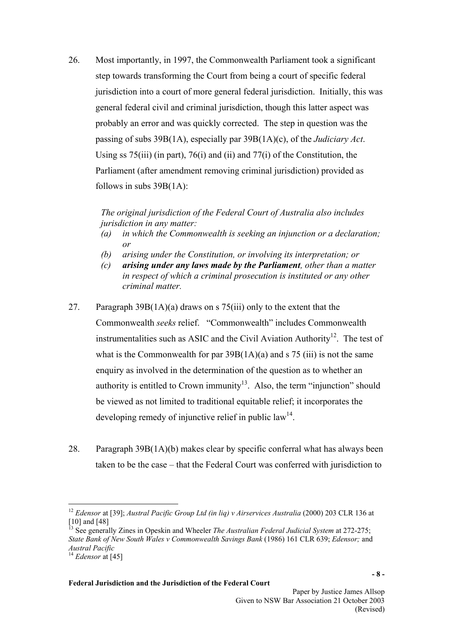26. Most importantly, in 1997, the Commonwealth Parliament took a significant step towards transforming the Court from being a court of specific federal jurisdiction into a court of more general federal jurisdiction. Initially, this was general federal civil and criminal jurisdiction, though this latter aspect was probably an error and was quickly corrected. The step in question was the passing of subs 39B(1A), especially par 39B(1A)(c), of the *Judiciary Act*. Using ss  $75(iii)$  (in part),  $76(i)$  and (ii) and  $77(i)$  of the Constitution, the Parliament (after amendment removing criminal jurisdiction) provided as follows in subs 39B(1A):

> *The original jurisdiction of the Federal Court of Australia also includes jurisdiction in any matter:*

- *(a) in which the Commonwealth is seeking an injunction or a declaration; or*
- *(b) arising under the Constitution, or involving its interpretation; or*
- *(c) arising under any laws made by the Parliament, other than a matter in respect of which a criminal prosecution is instituted or any other criminal matter.*
- 27. Paragraph 39B(1A)(a) draws on s 75(iii) only to the extent that the Commonwealth *seeks* relief. "Commonwealth" includes Commonwealth instrumentalities such as ASIC and the Civil Aviation Authority<sup>12</sup>. The test of what is the Commonwealth for par  $39B(1A)(a)$  and s 75 (iii) is not the same enquiry as involved in the determination of the question as to whether an authority is entitled to Crown immunity<sup>13</sup>. Also, the term "injunction" should be viewed as not limited to traditional equitable relief; it incorporates the developing remedy of injunctive relief in public law<sup>14</sup>.
- 28. Paragraph 39B(1A)(b) makes clear by specific conferral what has always been taken to be the case – that the Federal Court was conferred with jurisdiction to

 $\overline{a}$ 

<span id="page-7-0"></span><sup>&</sup>lt;sup>12</sup> *Edensor* at [39]; *Austral Pacific Group Ltd (in liq) v Airservices Australia (2000) 203 CLR 136* at [10] and [48]

<span id="page-7-1"></span><sup>13</sup> See generally Zines in Opeskin and Wheeler *The Australian Federal Judicial System* at 272-275; *State Bank of New South Wales v Commonwealth Savings Bank* (1986) 161 CLR 639; *Edensor;* and

<span id="page-7-2"></span><sup>&</sup>lt;sup>14</sup> *Edensor* at [45]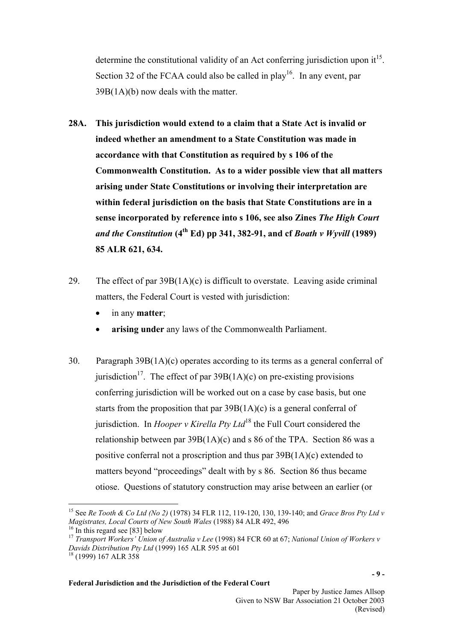determine the constitutional validity of an Act conferring jurisdiction upon  $it^{15}$ . Section 32 of the FCAA could also be called in play<sup>16</sup>. In any event, par 39B(1A)(b) now deals with the matter.

- **28A. This jurisdiction would extend to a claim that a State Act is invalid or indeed whether an amendment to a State Constitution was made in accordance with that Constitution as required by s 106 of the Commonwealth Constitution. As to a wider possible view that all matters arising under State Constitutions or involving their interpretation are within federal jurisdiction on the basis that State Constitutions are in a sense incorporated by reference into s 106, see also Zines** *The High Court and the Constitution*  $(4^{th} Ed)$  pp 341, 382-91, and cf *Boath v Wyvill* (1989) **85 ALR 621, 634.**
- 29. The effect of par 39B(1A)(c) is difficult to overstate. Leaving aside criminal matters, the Federal Court is vested with jurisdiction:
	- in any **matter**;
	- **arising under** any laws of the Commonwealth Parliament.
- 30. Paragraph 39B(1A)(c) operates according to its terms as a general conferral of jurisdiction<sup>17</sup>. The effect of par  $39B(1A)(c)$  on pre-existing provisions conferring jurisdiction will be worked out on a case by case basis, but one starts from the proposition that par  $39B(1A)(c)$  is a general conferral of jurisdiction. In *Hooper v Kirella Pty Ltd*<sup>18</sup> the Full Court considered the relationship between par  $39B(1A)(c)$  and s 86 of the TPA. Section 86 was a positive conferral not a proscription and thus par 39B(1A)(c) extended to matters beyond "proceedings" dealt with by s 86. Section 86 thus became otiose. Questions of statutory construction may arise between an earlier (or

 $\overline{a}$ 

<span id="page-8-0"></span><sup>15</sup> See *Re Tooth & Co Ltd (No 2)* (1978) 34 FLR 112, 119-120, 130, 139-140; and *Grace Bros Pty Ltd v Magistrates, Local Courts of New South Wales* (1988) 84 ALR 492, 496  $16$  In this regard see [83] below

<span id="page-8-2"></span><span id="page-8-1"></span><sup>17</sup> *Transport Workers' Union of Australia v Lee* (1998) 84 FCR 60 at 67; *National Union of Workers v Davids Distribution Pty Ltd* (1999) 165 ALR 595 at 601

<span id="page-8-3"></span><sup>18 (1999) 167</sup> ALR 358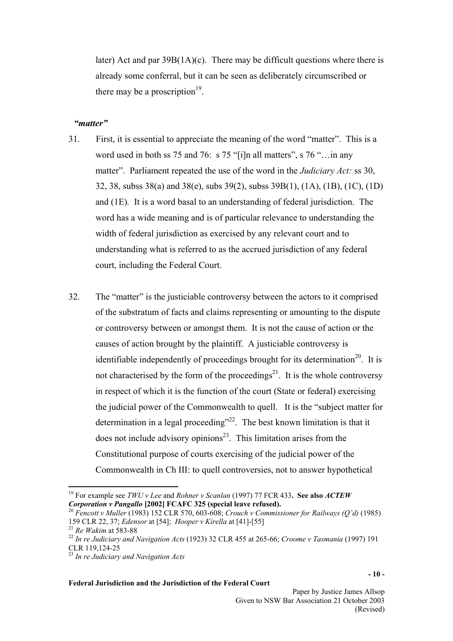later) Act and par  $39B(1A)(c)$ . There may be difficult questions where there is already some conferral, but it can be seen as deliberately circumscribed or there may be a proscription<sup>19</sup>.

### *"matter"*

- 31. First, it is essential to appreciate the meaning of the word "matter". This is a word used in both ss 75 and 76: s 75 "[i]n all matters", s 76 "... in any matter". Parliament repeated the use of the word in the *Judiciary Act:* ss 30, 32, 38, subss 38(a) and 38(e), subs 39(2), subss 39B(1), (1A), (1B), (1C), (1D) and (1E)*.* It is a word basal to an understanding of federal jurisdiction. The word has a wide meaning and is of particular relevance to understanding the width of federal jurisdiction as exercised by any relevant court and to understanding what is referred to as the accrued jurisdiction of any federal court, including the Federal Court.
- 32. The "matter" is the justiciable controversy between the actors to it comprised of the substratum of facts and claims representing or amounting to the dispute or controversy between or amongst them. It is not the cause of action or the causes of action brought by the plaintiff. A justiciable controversy is identifiable independently of proceedings brought for its determination<sup>20</sup>. It is not characterised by the form of the proceedings<sup>21</sup>. It is the whole controversy in respect of which it is the function of the court (State or federal) exercising the judicial power of the Commonwealth to quell. It is the "subject matter for determination in a legal proceeding"<sup>22</sup>. The best known limitation is that it does not include advisory opinions<sup>23</sup>. This limitation arises from the Constitutional purpose of courts exercising of the judicial power of the Commonwealth in Ch III: to quell controversies, not to answer hypothetical

<span id="page-9-0"></span> $\overline{a}$ 19 For example see *TWU v Lee* and *Rohner v Scanlan* (1997) 77 FCR 433**. See also** *ACTEW Corporation v Pangallo* **[2002] FCAFC 325 (special leave refused).** 

<span id="page-9-1"></span><sup>20</sup> *Fencott v Muller* (1983) 152 CLR 570, 603-608; *Crouch v Commissioner for Railways (Q'd)* (1985) 159 CLR 22, 37; *Edensor* at [54]; *Hooper v Kirella* at [41]-[55] 21 *Re Wakim* at 583-88 22 *In re Judiciary and Navigation Acts* (1923) 32 CLR 455 at 265-66; *Croome v Tasmania* (1997) 191

<span id="page-9-2"></span>

<span id="page-9-3"></span>CLR 119,124-25

<span id="page-9-4"></span><sup>23</sup> *In re Judiciary and Navigation Acts*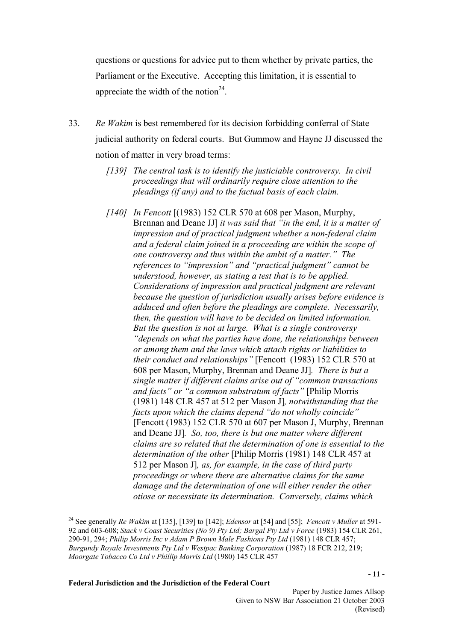questions or questions for advice put to them whether by private parties, the Parliament or the Executive. Accepting this limitation, it is essential to appreciate the width of the notion<sup>24</sup>.

- 33. *Re Wakim* is best remembered for its decision forbidding conferral of State judicial authority on federal courts. But Gummow and Hayne JJ discussed the notion of matter in very broad terms:
	- *[139] The central task is to identify the justiciable controversy. In civil proceedings that will ordinarily require close attention to the pleadings (if any) and to the factual basis of each claim.*
	- *[140] In Fencott* [(1983) 152 CLR 570 at 608 per Mason, Murphy, Brennan and Deane JJ] *it was said that "in the end, it is a matter of impression and of practical judgment whether a non-federal claim and a federal claim joined in a proceeding are within the scope of one controversy and thus within the ambit of a matter." The references to "impression" and "practical judgment" cannot be understood, however, as stating a test that is to be applied. Considerations of impression and practical judgment are relevant because the question of jurisdiction usually arises before evidence is adduced and often before the pleadings are complete. Necessarily, then, the question will have to be decided on limited information. But the question is not at large. What is a single controversy "depends on what the parties have done, the relationships between or among them and the laws which attach rights or liabilities to their conduct and relationships"* [Fencott (1983) 152 CLR 570 at 608 per Mason, Murphy, Brennan and Deane JJ]*. There is but a single matter if different claims arise out of "common transactions and facts" or "a common substratum of facts"* [Philip Morris (1981) 148 CLR 457 at 512 per Mason J]*, notwithstanding that the facts upon which the claims depend "do not wholly coincide"*  [Fencott (1983) 152 CLR 570 at 607 per Mason J, Murphy, Brennan and Deane JJ]*. So, too, there is but one matter where different claims are so related that the determination of one is essential to the determination of the other* [Philip Morris (1981) 148 CLR 457 at 512 per Mason J]*, as, for example, in the case of third party proceedings or where there are alternative claims for the same damage and the determination of one will either render the other otiose or necessitate its determination. Conversely, claims which*

**Federal Jurisdiction and the Jurisdiction of the Federal Court** 

 $\overline{a}$ 

<span id="page-10-0"></span><sup>24</sup> See generally *Re Wakim* at [135], [139] to [142]; *Edensor* at [54] and [55]; *Fencott v Muller* at 591- 92 and 603-608; *Stack v Coast Securities (No 9) Pty Ltd; Bargal Pty Ltd v Force* (1983) 154 CLR 261, 290-91, 294; *Philip Morris Inc v Adam P Brown Male Fashions Pty Ltd* (1981) 148 CLR 457; *Burgundy Royale Investments Pty Ltd v Westpac Banking Corporation* (1987) 18 FCR 212, 219; *Moorgate Tobacco Co Ltd v Phillip Morris Ltd* (1980) 145 CLR 457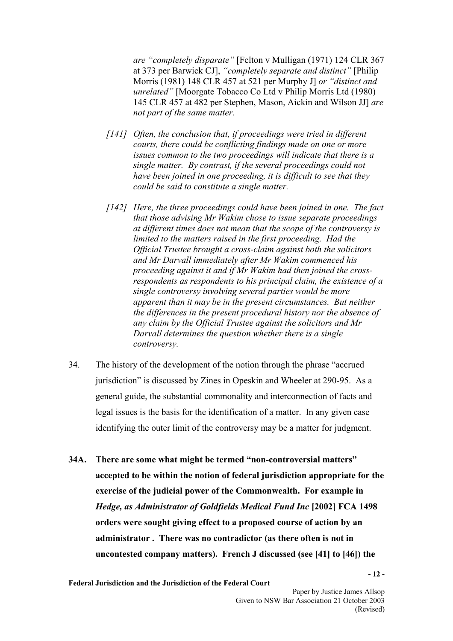*are "completely disparate"* [Felton v Mulligan (1971) 124 CLR 367 at 373 per Barwick CJ], *"completely separate and distinct"* [Philip Morris (1981) 148 CLR 457 at 521 per Murphy J] *or "distinct and unrelated"* [Moorgate Tobacco Co Ltd v Philip Morris Ltd (1980) 145 CLR 457 at 482 per Stephen, Mason, Aickin and Wilson JJ] *are not part of the same matter.* 

- *[141] Often, the conclusion that, if proceedings were tried in different courts, there could be conflicting findings made on one or more issues common to the two proceedings will indicate that there is a single matter. By contrast, if the several proceedings could not have been joined in one proceeding, it is difficult to see that they could be said to constitute a single matter.*
- *[142] Here, the three proceedings could have been joined in one. The fact that those advising Mr Wakim chose to issue separate proceedings at different times does not mean that the scope of the controversy is limited to the matters raised in the first proceeding. Had the Official Trustee brought a cross-claim against both the solicitors and Mr Darvall immediately after Mr Wakim commenced his proceeding against it and if Mr Wakim had then joined the crossrespondents as respondents to his principal claim, the existence of a single controversy involving several parties would be more apparent than it may be in the present circumstances. But neither the differences in the present procedural history nor the absence of any claim by the Official Trustee against the solicitors and Mr Darvall determines the question whether there is a single controversy.*
- 34. The history of the development of the notion through the phrase "accrued jurisdiction" is discussed by Zines in Opeskin and Wheeler at 290-95. As a general guide, the substantial commonality and interconnection of facts and legal issues is the basis for the identification of a matter. In any given case identifying the outer limit of the controversy may be a matter for judgment.
- **34A. There are some what might be termed "non-controversial matters" accepted to be within the notion of federal jurisdiction appropriate for the exercise of the judicial power of the Commonwealth. For example in**  *Hedge, as Administrator of Goldfields Medical Fund Inc* **[2002] FCA 1498 orders were sought giving effect to a proposed course of action by an administrator . There was no contradictor (as there often is not in uncontested company matters). French J discussed (see [41] to [46]) the**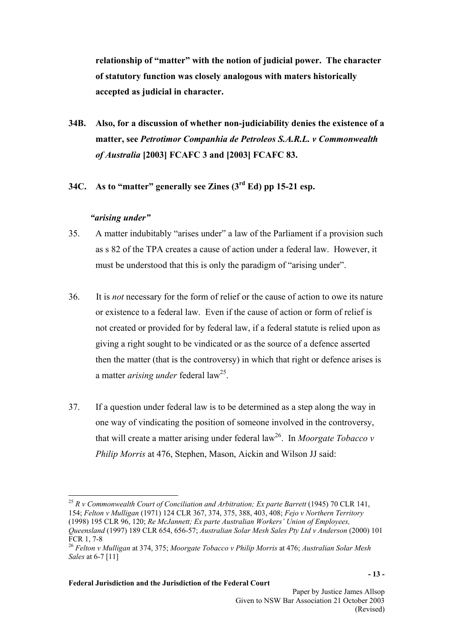**relationship of "matter" with the notion of judicial power. The character of statutory function was closely analogous with maters historically accepted as judicial in character.** 

- **34B. Also, for a discussion of whether non-judiciability denies the existence of a matter, see** *Petrotimor Companhia de Petroleos S.A.R.L. v Commonwealth of Australia* **[2003] FCAFC 3 and [2003] FCAFC 83.**
- **34C. As to "matter" generally see Zines (3rd Ed) pp 15-21 esp.**

### *"arising under"*

 $\overline{a}$ 

- 35. A matter indubitably "arises under" a law of the Parliament if a provision such as s 82 of the TPA creates a cause of action under a federal law. However, it must be understood that this is only the paradigm of "arising under".
- 36. It is *not* necessary for the form of relief or the cause of action to owe its nature or existence to a federal law. Even if the cause of action or form of relief is not created or provided for by federal law, if a federal statute is relied upon as giving a right sought to be vindicated or as the source of a defence asserted then the matter (that is the controversy) in which that right or defence arises is a matter *arising under* federal la[w25.](#page-12-0)
- 37. If a question under federal law is to be determined as a step along the way in one way of vindicating the position of someone involved in the controversy, that will create a matter arising under federal  $law<sup>26</sup>$ . In *Moorgate Tobacco v Philip Morris* at 476, Stephen, Mason, Aickin and Wilson JJ said:

<span id="page-12-0"></span><sup>25</sup> R v Commonwealth Court of Conciliation and Arbitration; Ex parte Barrett (1945) 70 CLR 141, 154; *Felton v Mulligan* (1971) 124 CLR 367, 374, 375, 388, 403, 408; *Fejo v Northern Territory* (1998) 195 CLR 96, 120; *Re McJannett; Ex parte Australian Workers' Union of Employees, Queensland* (1997) 189 CLR 654, 656-57; *Australian Solar Mesh Sales Pty Ltd v Anderson* (2000) 101 FCR 1, 7-8

<span id="page-12-1"></span><sup>26</sup> *Felton v Mulligan* at 374, 375; *Moorgate Tobacco v Philip Morris* at 476; *Australian Solar Mesh Sales* at 6-7 [11]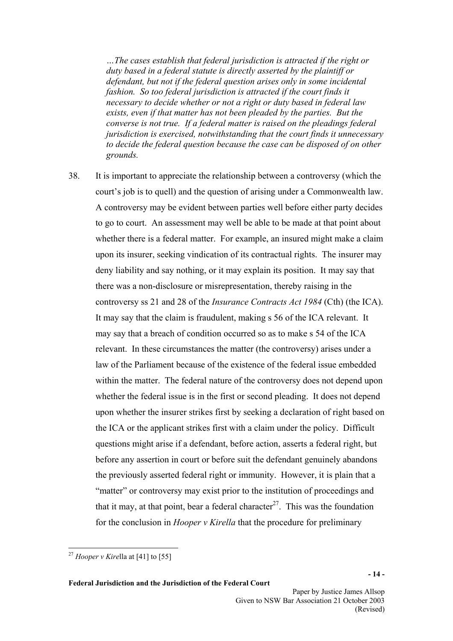*…The cases establish that federal jurisdiction is attracted if the right or duty based in a federal statute is directly asserted by the plaintiff or defendant, but not if the federal question arises only in some incidental fashion. So too federal jurisdiction is attracted if the court finds it necessary to decide whether or not a right or duty based in federal law exists, even if that matter has not been pleaded by the parties. But the converse is not true. If a federal matter is raised on the pleadings federal jurisdiction is exercised, notwithstanding that the court finds it unnecessary to decide the federal question because the case can be disposed of on other grounds.* 

38. It is important to appreciate the relationship between a controversy (which the court's job is to quell) and the question of arising under a Commonwealth law. A controversy may be evident between parties well before either party decides to go to court. An assessment may well be able to be made at that point about whether there is a federal matter. For example, an insured might make a claim upon its insurer, seeking vindication of its contractual rights. The insurer may deny liability and say nothing, or it may explain its position. It may say that there was a non-disclosure or misrepresentation, thereby raising in the controversy ss 21 and 28 of the *Insurance Contracts Act 1984* (Cth) (the ICA). It may say that the claim is fraudulent, making s 56 of the ICA relevant. It may say that a breach of condition occurred so as to make s 54 of the ICA relevant. In these circumstances the matter (the controversy) arises under a law of the Parliament because of the existence of the federal issue embedded within the matter. The federal nature of the controversy does not depend upon whether the federal issue is in the first or second pleading. It does not depend upon whether the insurer strikes first by seeking a declaration of right based on the ICA or the applicant strikes first with a claim under the policy. Difficult questions might arise if a defendant, before action, asserts a federal right, but before any assertion in court or before suit the defendant genuinely abandons the previously asserted federal right or immunity. However, it is plain that a "matter" or controversy may exist prior to the institution of proceedings and that it may, at that point, bear a federal character<sup>27</sup>. This was the foundation for the conclusion in *Hooper v Kirella* that the procedure for preliminary

 $\overline{a}$ 

<span id="page-13-0"></span><sup>27</sup> *Hooper v Kire*lla at [41] to [55]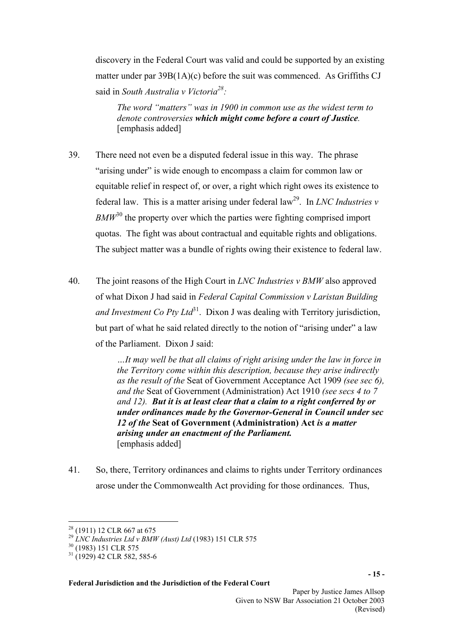discovery in the Federal Court was valid and could be supported by an existing matter under par 39B(1A)(c) before the suit was commenced. As Griffiths CJ said in *South Australia v Victori[a28](#page-14-0) :*

*The word "matters" was in 1900 in common use as the widest term to denote controversies which might come before a court of Justice.*  [emphasis added]

- 39. There need not even be a disputed federal issue in this way. The phrase "arising under" is wide enough to encompass a claim for common law or equitable relief in respect of, or over, a right which right owes its existence to federal law. This is a matter arising under federal  $law<sup>29</sup>$ . In *LNC Industries v BMW*[30](#page-14-2) the property over which the parties were fighting comprised import quotas. The fight was about contractual and equitable rights and obligations. The subject matter was a bundle of rights owing their existence to federal law.
- 40. The joint reasons of the High Court in *LNC Industries v BMW* also approved of what Dixon J had said in *Federal Capital Commission v Laristan Building and Investment Co Pty Ltd*<sup>31</sup>. Dixon J was dealing with Territory jurisdiction. but part of what he said related directly to the notion of "arising under" a law of the Parliament. Dixon J said:

*…It may well be that all claims of right arising under the law in force in the Territory come within this description, because they arise indirectly as the result of the* Seat of Government Acceptance Act 1909 *(see sec 6), and the* Seat of Government (Administration) Act 1910 *(see secs 4 to 7 and 12). But it is at least clear that a claim to a right conferred by or under ordinances made by the Governor-General in Council under sec 12 of the* **Seat of Government (Administration) Act** *is a matter arising under an enactment of the Parliament.*  [emphasis added]

41. So, there, Territory ordinances and claims to rights under Territory ordinances arose under the Commonwealth Act providing for those ordinances. Thus,

 $\overline{a}$ 

<span id="page-14-0"></span> $28$  (1911) 12 CLR 667 at 675

<span id="page-14-1"></span><sup>29</sup> *LNC Industries Ltd v BMW (Aust) Ltd* (1983) 151 CLR 575

<span id="page-14-2"></span><sup>30 (1983) 151</sup> CLR 575

<span id="page-14-3"></span> $31$  (1929) 42 CLR 582, 585-6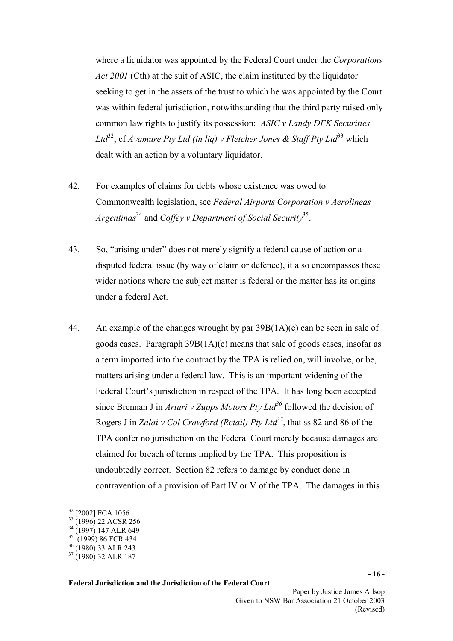where a liquidator was appointed by the Federal Court under the *Corporations Act 2001* (Cth) at the suit of ASIC, the claim instituted by the liquidator seeking to get in the assets of the trust to which he was appointed by the Court was within federal jurisdiction, notwithstanding that the third party raised only common law rights to justify its possession: *ASIC v Landy DFK Securities Ltd*<sup>32</sup>; cf *Avamure Pty Ltd (in lig) v Fletcher Jones & Staff Pty Ltd*<sup>[33](#page-15-1)</sup> which dealt with an action by a voluntary liquidator.

- 42. For examples of claims for debts whose existence was owed to Commonwealth legislation, see *Federal Airports Corporation v Aerolineas Argentinas*[34](#page-15-2) and *Coffey v Department of Social Security*[35.](#page-15-3)
- 43. So, "arising under" does not merely signify a federal cause of action or a disputed federal issue (by way of claim or defence), it also encompasses these wider notions where the subject matter is federal or the matter has its origins under a federal Act.
- 44. An example of the changes wrought by par 39B(1A)(c) can be seen in sale of goods cases. Paragraph 39B(1A)(c) means that sale of goods cases, insofar as a term imported into the contract by the TPA is relied on, will involve, or be, matters arising under a federal law. This is an important widening of the Federal Court's jurisdiction in respect of the TPA. It has long been accepted since Brennan J in *Arturi v Zupps Motors Pty Ltd*<sup>36</sup> followed the decision of Rogers J in *Zalai v Col Crawford (Retail) Pty Ltd[37](#page-15-5)*, that ss 82 and 86 of the TPA confer no jurisdiction on the Federal Court merely because damages are claimed for breach of terms implied by the TPA. This proposition is undoubtedly correct. Section 82 refers to damage by conduct done in contravention of a provision of Part IV or V of the TPA. The damages in this

 $\overline{a}$ 

<span id="page-15-0"></span><sup>&</sup>lt;sup>32</sup> [2002] FCA 1056

<span id="page-15-1"></span> $33$  (1996) 22 ACSR 256

<span id="page-15-2"></span><sup>&</sup>lt;sup>34</sup> (1997) 147 ALR 649

<span id="page-15-3"></span><sup>&</sup>lt;sup>35</sup> (1999) 86 FCR 434

<span id="page-15-4"></span><sup>&</sup>lt;sup>36</sup> (1980) 33 ALR 243

<span id="page-15-5"></span><sup>&</sup>lt;sup>37</sup> (1980) 32 ALR 187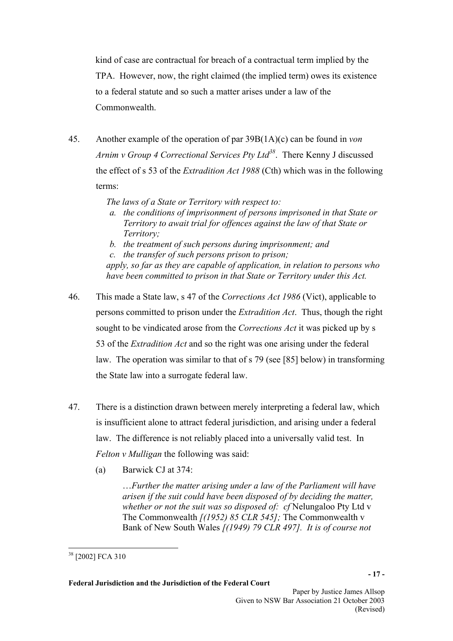kind of case are contractual for breach of a contractual term implied by the TPA. However, now, the right claimed (the implied term) owes its existence to a federal statute and so such a matter arises under a law of the Commonwealth.

45. Another example of the operation of par 39B(1A)(c) can be found in *von Arnim v Group 4 Correctional Services Pty Ltd[38](#page-16-0)*. There Kenny J discussed the effect of s 53 of the *Extradition Act 1988* (Cth) which was in the following terms:

*The laws of a State or Territory with respect to:* 

- *a. the conditions of imprisonment of persons imprisoned in that State or Territory to await trial for offences against the law of that State or Territory;*
- *b. the treatment of such persons during imprisonment; and*

*c. the transfer of such persons prison to prison; apply, so far as they are capable of application, in relation to persons who have been committed to prison in that State or Territory under this Act.* 

- 46. This made a State law, s 47 of the *Corrections Act 1986* (Vict), applicable to persons committed to prison under the *Extradition Act*. Thus, though the right sought to be vindicated arose from the *Corrections Act* it was picked up by s 53 of the *Extradition Act* and so the right was one arising under the federal law. The operation was similar to that of s 79 (see [85] below) in transforming the State law into a surrogate federal law.
- 47. There is a distinction drawn between merely interpreting a federal law, which is insufficient alone to attract federal jurisdiction, and arising under a federal law. The difference is not reliably placed into a universally valid test. In *Felton v Mulligan* the following was said:
	- (a) Barwick CJ at 374:

…*Further the matter arising under a law of the Parliament will have arisen if the suit could have been disposed of by deciding the matter, whether or not the suit was so disposed of: cf* Nelungaloo Pty Ltd v The Commonwealth *[(1952) 85 CLR 545];* The Commonwealth v Bank of New South Wales *[(1949) 79 CLR 497]. It is of course not* 

<span id="page-16-0"></span> $\overline{a}$ 38 [2002] FCA 310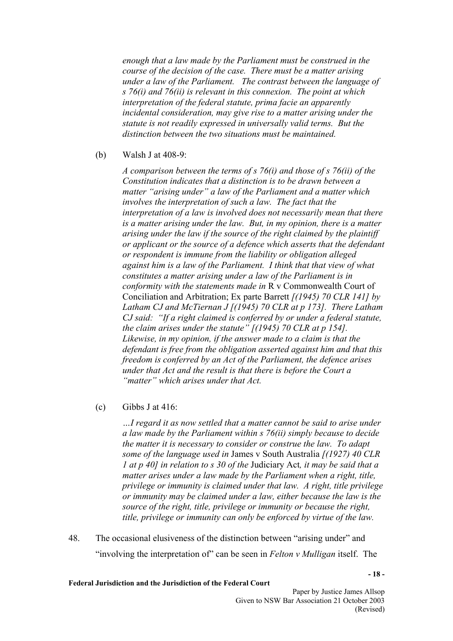*enough that a law made by the Parliament must be construed in the course of the decision of the case. There must be a matter arising under a law of the Parliament. The contrast between the language of s 76(i) and 76(ii) is relevant in this connexion. The point at which interpretation of the federal statute, prima facie an apparently incidental consideration, may give rise to a matter arising under the statute is not readily expressed in universally valid terms. But the distinction between the two situations must be maintained.* 

(b) Walsh J at 408-9:

*A comparison between the terms of s 76(i) and those of s 76(ii) of the Constitution indicates that a distinction is to be drawn between a matter "arising under" a law of the Parliament and a matter which involves the interpretation of such a law. The fact that the interpretation of a law is involved does not necessarily mean that there is a matter arising under the law. But, in my opinion, there is a matter arising under the law if the source of the right claimed by the plaintiff or applicant or the source of a defence which asserts that the defendant or respondent is immune from the liability or obligation alleged against him is a law of the Parliament. I think that that view of what constitutes a matter arising under a law of the Parliament is in conformity with the statements made in* R v Commonwealth Court of Conciliation and Arbitration; Ex parte Barrett *[(1945) 70 CLR 141] by Latham CJ and McTiernan J [(1945) 70 CLR at p 173]. There Latham CJ said: "If a right claimed is conferred by or under a federal statute, the claim arises under the statute" [(1945) 70 CLR at p 154]. Likewise, in my opinion, if the answer made to a claim is that the defendant is free from the obligation asserted against him and that this freedom is conferred by an Act of the Parliament, the defence arises under that Act and the result is that there is before the Court a "matter" which arises under that Act.* 

 $\text{(c)}$  Gibbs J at 416:

*…I regard it as now settled that a matter cannot be said to arise under a law made by the Parliament within s 76(ii) simply because to decide the matter it is necessary to consider or construe the law. To adapt some of the language used in* James v South Australia *[(1927) 40 CLR 1 at p 40] in relation to s 30 of the* Judiciary Act*, it may be said that a matter arises under a law made by the Parliament when a right, title, privilege or immunity is claimed under that law. A right, title privilege or immunity may be claimed under a law, either because the law is the source of the right, title, privilege or immunity or because the right, title, privilege or immunity can only be enforced by virtue of the law.* 

48. The occasional elusiveness of the distinction between "arising under" and "involving the interpretation of" can be seen in *Felton v Mulligan* itself. The

**Federal Jurisdiction and the Jurisdiction of the Federal Court** 

**- 18 -**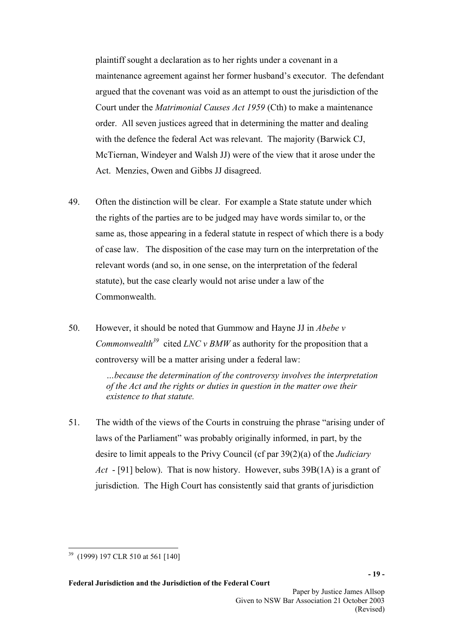plaintiff sought a declaration as to her rights under a covenant in a maintenance agreement against her former husband's executor. The defendant argued that the covenant was void as an attempt to oust the jurisdiction of the Court under the *Matrimonial Causes Act 1959* (Cth) to make a maintenance order. All seven justices agreed that in determining the matter and dealing with the defence the federal Act was relevant. The majority (Barwick CJ, McTiernan, Windeyer and Walsh JJ) were of the view that it arose under the Act. Menzies, Owen and Gibbs JJ disagreed.

- 49. Often the distinction will be clear. For example a State statute under which the rights of the parties are to be judged may have words similar to, or the same as, those appearing in a federal statute in respect of which there is a body of case law. The disposition of the case may turn on the interpretation of the relevant words (and so, in one sense, on the interpretation of the federal statute), but the case clearly would not arise under a law of the Commonwealth.
- 50. However, it should be noted that Gummow and Hayne JJ in *Abebe v Commonwealth[39](#page-18-0)* cited *LNC v BMW* as authority for the proposition that a controversy will be a matter arising under a federal law:

*…because the determination of the controversy involves the interpretation of the Act and the rights or duties in question in the matter owe their existence to that statute.* 

51. The width of the views of the Courts in construing the phrase "arising under of laws of the Parliament" was probably originally informed, in part, by the desire to limit appeals to the Privy Council (cf par 39(2)(a) of the *Judiciary Act* - [91] below). That is now history. However, subs 39B(1A) is a grant of jurisdiction. The High Court has consistently said that grants of jurisdiction

<span id="page-18-0"></span> $\overline{a}$ <sup>39</sup> (1999) 197 CLR 510 at 561 [140]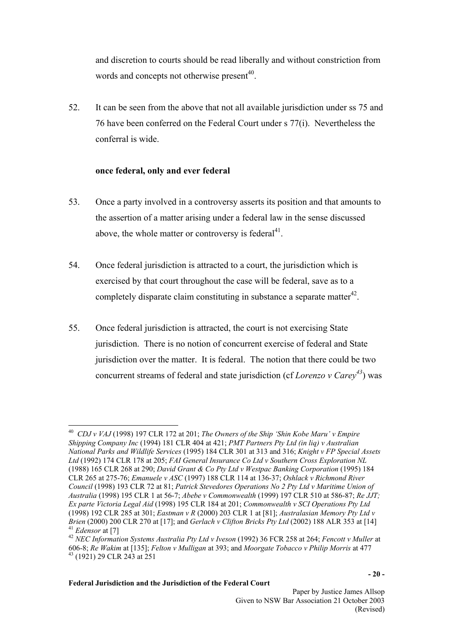and discretion to courts should be read liberally and without constriction from words and concepts not otherwise present<sup> $40$ </sup>.

52. It can be seen from the above that not all available jurisdiction under ss 75 and 76 have been conferred on the Federal Court under s 77(i). Nevertheless the conferral is wide.

# **once federal, only and ever federal**

- 53. Once a party involved in a controversy asserts its position and that amounts to the assertion of a matter arising under a federal law in the sense discussed above, the whole matter or controversy is federal $4<sup>1</sup>$ .
- 54. Once federal jurisdiction is attracted to a court, the jurisdiction which is exercised by that court throughout the case will be federal, save as to a completely disparate claim constituting in substance a separate matter<sup>42</sup>.
- 55. Once federal jurisdiction is attracted, the court is not exercising State jurisdiction. There is no notion of concurrent exercise of federal and State jurisdiction over the matter. It is federal. The notion that there could be two concurrent streams of federal and state jurisdiction (cf *Lorenzo v Care[y43](#page-19-3)*) was

<span id="page-19-0"></span> $\overline{a}$ 40 *CDJ v VAJ* (1998) 197 CLR 172 at 201; *The Owners of the Ship 'Shin Kobe Maru' v Empire Shipping Company Inc* (1994) 181 CLR 404 at 421; *PMT Partners Pty Ltd (in liq) v Australian National Parks and Wildlife Services* (1995) 184 CLR 301 at 313 and 316; *Knight v FP Special Assets Ltd* (1992) 174 CLR 178 at 205; *FAI General Insurance Co Ltd v Southern Cross Exploration NL* (1988) 165 CLR 268 at 290; *David Grant & Co Pty Ltd v Westpac Banking Corporation* (1995) 184 CLR 265 at 275-76; *Emanuele v ASC* (1997) 188 CLR 114 at 136-37; *Oshlack v Richmond River Council* (1998) 193 CLR 72 at 81; *Patrick Stevedores Operations No 2 Pty Ltd v Maritime Union of Australia* (1998) 195 CLR 1 at 56-7; *Abebe v Commonwealth* (1999) 197 CLR 510 at 586-87; *Re JJT; Ex parte Victoria Legal Aid* (1998) 195 CLR 184 at 201; *Commonwealth v SCI Operations Pty Ltd* (1998) 192 CLR 285 at 301; *Eastman v R* (2000) 203 CLR 1 at [81]; *Australasian Memory Pty Ltd v*  <sup>41</sup> Edensor at [7]<br><sup>42</sup> NEC Information Systems Australia Pty Ltd v Iveson (1992) 36 FCR 258 at 264; Fencott v Muller at

<span id="page-19-3"></span><span id="page-19-2"></span><span id="page-19-1"></span><sup>606-8;</sup> *Re Wakim* at [135]; *Felton v Mulligan* at 393; and *Moorgate Tobacco v Philip Morris* at 477 43 (1921) 29 CLR 243 at 251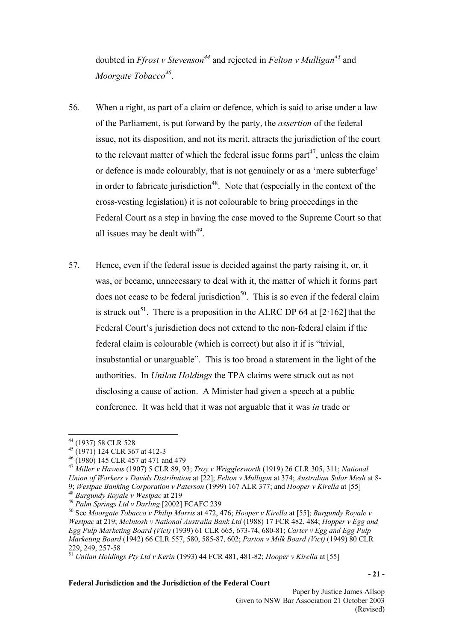doubted in *Ffrost v Stevenso[n44](#page-20-0)* and rejected in *Felton v Mulligan[45](#page-20-1)* and *Moorgate Tobacco*<sup>46</sup>.

- 56. When a right, as part of a claim or defence, which is said to arise under a law of the Parliament, is put forward by the party, the *assertion* of the federal issue, not its disposition, and not its merit, attracts the jurisdiction of the court to the relevant matter of which the federal issue forms part<sup>47</sup>, unless the claim or defence is made colourably, that is not genuinely or as a 'mere subterfuge' in order to fabricate jurisdiction<sup>48</sup>. Note that (especially in the context of the cross-vesting legislation) it is not colourable to bring proceedings in the Federal Court as a step in having the case moved to the Supreme Court so that all issues may be dealt with $49$ .
- 57. Hence, even if the federal issue is decided against the party raising it, or, it was, or became, unnecessary to deal with it, the matter of which it forms part does not cease to be federal jurisdiction<sup>50</sup>. This is so even if the federal claim is struck out<sup>51</sup>. There is a proposition in the ALRC DP 64 at  $[2.162]$  that the Federal Court's jurisdiction does not extend to the non-federal claim if the federal claim is colourable (which is correct) but also it if is "trivial, insubstantial or unarguable". This is too broad a statement in the light of the authorities. In *Unilan Holdings* the TPA claims were struck out as not disclosing a cause of action. A Minister had given a speech at a public conference. It was held that it was not arguable that it was *in* trade or

*Union of Workers v Davids Distribution* at [22]; *Felton v Mulligan* at 374; *Australian Solar Mesh* at 8-

<span id="page-20-4"></span><sup>48</sup> *Burgundy Royale v Westpac* at 219

<span id="page-20-0"></span> $\overline{a}$ 44 (1937) 58 CLR 528

<span id="page-20-1"></span><sup>45 (1971) 124</sup> CLR 367 at 412-3

<span id="page-20-2"></span><sup>46 (1980) 145</sup> CLR 457 at 471 and 479

<span id="page-20-3"></span><sup>47</sup> *Miller v Haweis* (1907) 5 CLR 89, 93; *Troy v Wrigglesworth* (1919) 26 CLR 305, 311; *National* 

<sup>9;</sup> *Westpac Banking Corporation v Paterson* (1999) 167 ALR 377; and *Hooper v Kirella* at [55]

<span id="page-20-5"></span><sup>49</sup> *Palm Springs Ltd v Darling* [2002] FCAFC 239

<span id="page-20-6"></span><sup>50</sup> See *Moorgate Tobacco v Philip Morris* at 472, 476; *Hooper v Kirella* at [55]; *Burgundy Royale v Westpac* at 219; *McIntosh v National Australia Bank Ltd* (1988) 17 FCR 482, 484; *Hopper v Egg and Egg Pulp Marketing Board (Vict)* (1939) 61 CLR 665, 673-74, 680-81; *Carter v Egg and Egg Pulp Marketing Board* (1942) 66 CLR 557, 580, 585-87, 602; *Parton v Milk Board (Vict)* (1949) 80 CLR 229, 249, 257-58

<span id="page-20-7"></span><sup>51</sup> *Unilan Holdings Pty Ltd v Kerin* (1993) 44 FCR 481, 481-82; *Hooper v Kirella* at [55]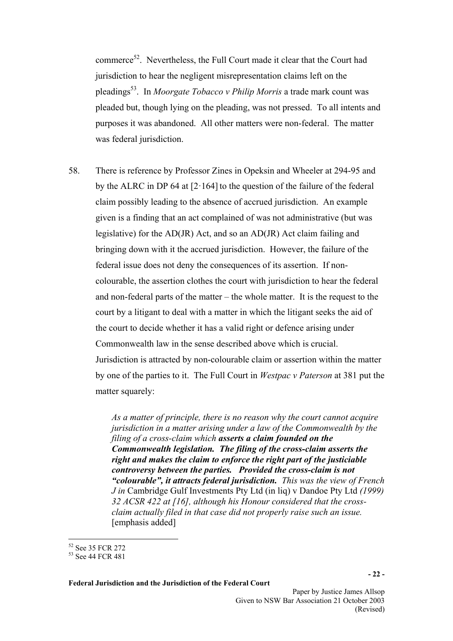commerce<sup>52</sup>. Nevertheless, the Full Court made it clear that the Court had jurisdiction to hear the negligent misrepresentation claims left on the pleadings[53.](#page-21-1) In *Moorgate Tobacco v Philip Morris* a trade mark count was pleaded but, though lying on the pleading, was not pressed. To all intents and purposes it was abandoned. All other matters were non-federal. The matter was federal jurisdiction.

58. There is reference by Professor Zines in Opeksin and Wheeler at 294-95 and by the ALRC in DP 64 at  $[2.164]$  to the question of the failure of the federal claim possibly leading to the absence of accrued jurisdiction. An example given is a finding that an act complained of was not administrative (but was legislative) for the AD(JR) Act, and so an AD(JR) Act claim failing and bringing down with it the accrued jurisdiction. However, the failure of the federal issue does not deny the consequences of its assertion. If noncolourable, the assertion clothes the court with jurisdiction to hear the federal and non-federal parts of the matter – the whole matter. It is the request to the court by a litigant to deal with a matter in which the litigant seeks the aid of the court to decide whether it has a valid right or defence arising under Commonwealth law in the sense described above which is crucial. Jurisdiction is attracted by non-colourable claim or assertion within the matter by one of the parties to it. The Full Court in *Westpac v Paterson* at 381 put the matter squarely:

> *As a matter of principle, there is no reason why the court cannot acquire jurisdiction in a matter arising under a law of the Commonwealth by the filing of a cross-claim which asserts a claim founded on the Commonwealth legislation. The filing of the cross-claim asserts the right and makes the claim to enforce the right part of the justiciable controversy between the parties. Provided the cross-claim is not "colourable", it attracts federal jurisdiction. This was the view of French J in* Cambridge Gulf Investments Pty Ltd (in liq) v Dandoe Pty Ltd *(1999) 32 ACSR 422 at [16], although his Honour considered that the crossclaim actually filed in that case did not properly raise such an issue.*  [emphasis added]

<span id="page-21-0"></span> $\overline{a}$ 52 See 35 FCR 272

<span id="page-21-1"></span><sup>53</sup> See 44 FCR 481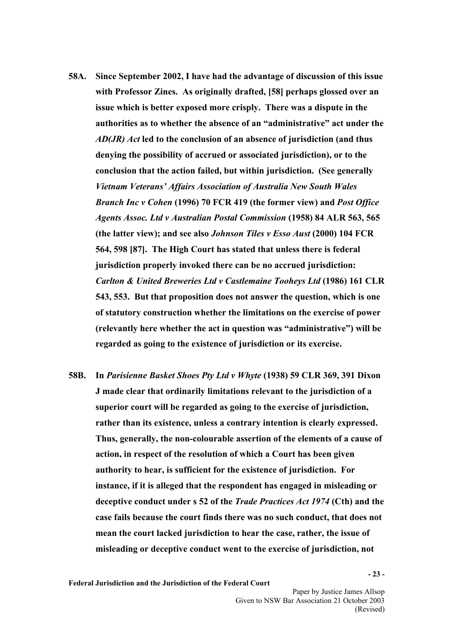- **58A. Since September 2002, I have had the advantage of discussion of this issue with Professor Zines. As originally drafted, [58] perhaps glossed over an issue which is better exposed more crisply. There was a dispute in the authorities as to whether the absence of an "administrative" act under the**  *AD(JR) Act* **led to the conclusion of an absence of jurisdiction (and thus denying the possibility of accrued or associated jurisdiction), or to the conclusion that the action failed, but within jurisdiction. (See generally**  *Vietnam Veterans' Affairs Association of Australia New South Wales Branch Inc v Cohen* **(1996) 70 FCR 419 (the former view) and** *Post Office Agents Assoc. Ltd v Australian Postal Commission* **(1958) 84 ALR 563, 565 (the latter view); and see also** *Johnson Tiles v Esso Aust* **(2000) 104 FCR 564, 598 [87]. The High Court has stated that unless there is federal jurisdiction properly invoked there can be no accrued jurisdiction:**  *Carlton & United Breweries Ltd v Castlemaine Tooheys Ltd* **(1986) 161 CLR 543, 553. But that proposition does not answer the question, which is one of statutory construction whether the limitations on the exercise of power (relevantly here whether the act in question was "administrative") will be regarded as going to the existence of jurisdiction or its exercise.**
- **58B. In** *Parisienne Basket Shoes Pty Ltd v Whyte* **(1938) 59 CLR 369, 391 Dixon J made clear that ordinarily limitations relevant to the jurisdiction of a superior court will be regarded as going to the exercise of jurisdiction, rather than its existence, unless a contrary intention is clearly expressed. Thus, generally, the non-colourable assertion of the elements of a cause of action, in respect of the resolution of which a Court has been given authority to hear, is sufficient for the existence of jurisdiction. For instance, if it is alleged that the respondent has engaged in misleading or deceptive conduct under s 52 of the** *Trade Practices Act 1974* **(Cth) and the case fails because the court finds there was no such conduct, that does not mean the court lacked jurisdiction to hear the case, rather, the issue of misleading or deceptive conduct went to the exercise of jurisdiction, not**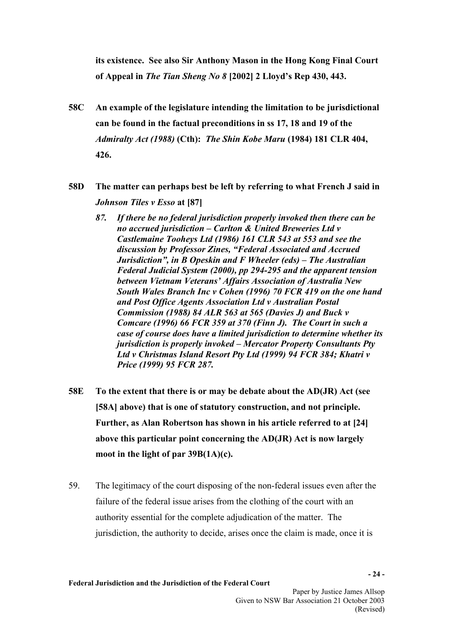**its existence. See also Sir Anthony Mason in the Hong Kong Final Court of Appeal in** *The Tian Sheng No 8* **[2002] 2 Lloyd's Rep 430, 443.** 

- **58C An example of the legislature intending the limitation to be jurisdictional can be found in the factual preconditions in ss 17, 18 and 19 of the**  *Admiralty Act (1988)* **(Cth):** *The Shin Kobe Maru* **(1984) 181 CLR 404, 426.**
- **58D The matter can perhaps best be left by referring to what French J said in**  *Johnson Tiles v Esso* **at [87]** 
	- *87. If there be no federal jurisdiction properly invoked then there can be no accrued jurisdiction – Carlton & United Breweries Ltd v Castlemaine Tooheys Ltd (1986) 161 CLR 543 at 553 and see the discussion by Professor Zines, "Federal Associated and Accrued Jurisdiction", in B Opeskin and F Wheeler (eds) – The Australian Federal Judicial System (2000), pp 294-295 and the apparent tension between Vietnam Veterans' Affairs Association of Australia New South Wales Branch Inc v Cohen (1996) 70 FCR 419 on the one hand and Post Office Agents Association Ltd v Australian Postal Commission (1988) 84 ALR 563 at 565 (Davies J) and Buck v Comcare (1996) 66 FCR 359 at 370 (Finn J). The Court in such a case of course does have a limited jurisdiction to determine whether its jurisdiction is properly invoked – Mercator Property Consultants Pty Ltd v Christmas Island Resort Pty Ltd (1999) 94 FCR 384; Khatri v Price (1999) 95 FCR 287.*
- **58E To the extent that there is or may be debate about the AD(JR) Act (see [58A] above) that is one of statutory construction, and not principle. Further, as Alan Robertson has shown in his article referred to at [24] above this particular point concerning the AD(JR) Act is now largely moot in the light of par 39B(1A)(c).**
- 59. The legitimacy of the court disposing of the non-federal issues even after the failure of the federal issue arises from the clothing of the court with an authority essential for the complete adjudication of the matter. The jurisdiction, the authority to decide, arises once the claim is made, once it is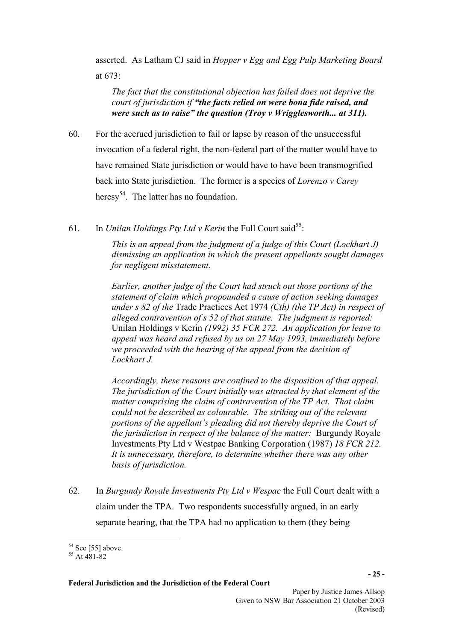asserted. As Latham CJ said in *Hopper v Egg and Egg Pulp Marketing Board* at 673:

*The fact that the constitutional objection has failed does not deprive the court of jurisdiction if "the facts relied on were bona fide raised, and were such as to raise" the question (Troy v Wrigglesworth... at 311).* 

- 60. For the accrued jurisdiction to fail or lapse by reason of the unsuccessful invocation of a federal right, the non-federal part of the matter would have to have remained State jurisdiction or would have to have been transmogrified back into State jurisdiction. The former is a species of *Lorenzo v Carey*  heresy<sup>54</sup>. The latter has no foundation.
- 61. In *Unilan Holdings Pty Ltd v Kerin* the Full Court said<sup>55</sup>:

*This is an appeal from the judgment of a judge of this Court (Lockhart J) dismissing an application in which the present appellants sought damages for negligent misstatement.* 

*Earlier, another judge of the Court had struck out those portions of the statement of claim which propounded a cause of action seeking damages under s 82 of the* Trade Practices Act 1974 *(Cth) (the TP Act) in respect of alleged contravention of s 52 of that statute. The judgment is reported:*  Unilan Holdings v Kerin *(1992) 35 FCR 272. An application for leave to appeal was heard and refused by us on 27 May 1993, immediately before we proceeded with the hearing of the appeal from the decision of Lockhart J.* 

*Accordingly, these reasons are confined to the disposition of that appeal. The jurisdiction of the Court initially was attracted by that element of the matter comprising the claim of contravention of the TP Act. That claim could not be described as colourable. The striking out of the relevant portions of the appellant's pleading did not thereby deprive the Court of the jurisdiction in respect of the balance of the matter:* Burgundy Royale Investments Pty Ltd v Westpac Banking Corporation (1987) *18 FCR 212. It is unnecessary, therefore, to determine whether there was any other basis of jurisdiction.* 

62. In *Burgundy Royale Investments Pty Ltd v Wespac* the Full Court dealt with a claim under the TPA. Two respondents successfully argued, in an early separate hearing, that the TPA had no application to them (they being

 $\overline{a}$  $54$  See [55] above.

<span id="page-24-1"></span><span id="page-24-0"></span><sup>55</sup> At 481-82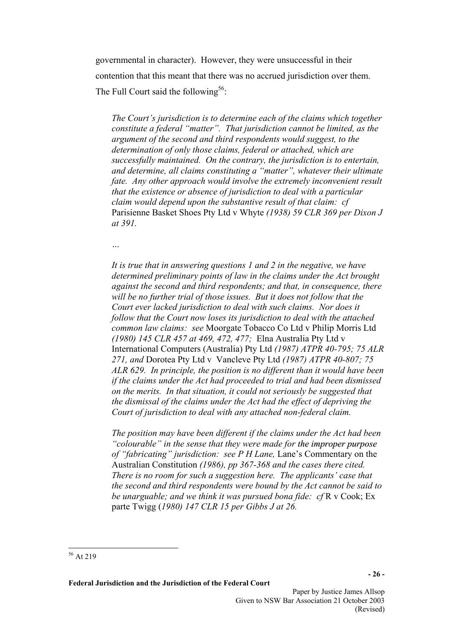governmental in character). However, they were unsuccessful in their contention that this meant that there was no accrued jurisdiction over them. The Full Court said the following<sup>56</sup>:

*The Court's jurisdiction is to determine each of the claims which together constitute a federal "matter". That jurisdiction cannot be limited, as the argument of the second and third respondents would suggest, to the determination of only those claims, federal or attached, which are successfully maintained. On the contrary, the jurisdiction is to entertain, and determine, all claims constituting a "matter", whatever their ultimate fate. Any other approach would involve the extremely inconvenient result that the existence or absence of jurisdiction to deal with a particular claim would depend upon the substantive result of that claim: cf*  Parisienne Basket Shoes Pty Ltd v Whyte *(1938) 59 CLR 369 per Dixon J at 391.* 

*…* 

*It is true that in answering questions 1 and 2 in the negative, we have determined preliminary points of law in the claims under the Act brought against the second and third respondents; and that, in consequence, there will be no further trial of those issues. But it does not follow that the Court ever lacked jurisdiction to deal with such claims. Nor does it follow that the Court now loses its jurisdiction to deal with the attached common law claims: see* Moorgate Tobacco Co Ltd v Philip Morris Ltd *(1980) 145 CLR 457 at 469, 472, 477;* Elna Australia Pty Ltd v International Computers (Australia) Pty Ltd *(1987) ATPR 40-795; 75 ALR 271, and* Dorotea Pty Ltd v Vancleve Pty Ltd *(1987) ATPR 40-807; 75 ALR 629. In principle, the position is no different than it would have been if the claims under the Act had proceeded to trial and had been dismissed on the merits. In that situation, it could not seriously be suggested that the dismissal of the claims under the Act had the effect of depriving the Court of jurisdiction to deal with any attached non-federal claim.* 

*The position may have been different if the claims under the Act had been "colourable" in the sense that they were made for the improper purpose of "fabricating" jurisdiction: see P H Lane,* Lane's Commentary on the Australian Constitution *(1986), pp 367-368 and the cases there cited. There is no room for such a suggestion here. The applicants' case that the second and third respondents were bound by the Act cannot be said to be unarguable; and we think it was pursued bona fide: cf* R v Cook; Ex parte Twigg (*1980) 147 CLR 15 per Gibbs J at 26.* 

**Federal Jurisdiction and the Jurisdiction of the Federal Court** 

<span id="page-25-0"></span> $\overline{a}$ 56 At 219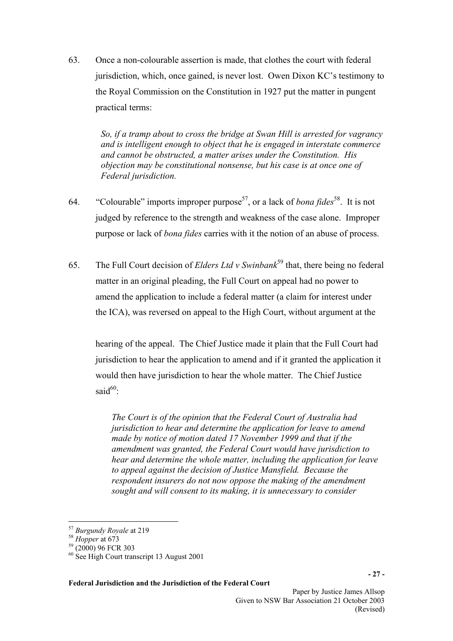63. Once a non-colourable assertion is made, that clothes the court with federal jurisdiction, which, once gained, is never lost. Owen Dixon KC's testimony to the Royal Commission on the Constitution in 1927 put the matter in pungent practical terms:

> *So, if a tramp about to cross the bridge at Swan Hill is arrested for vagrancy and is intelligent enough to object that he is engaged in interstate commerce and cannot be obstructed, a matter arises under the Constitution. His objection may be constitutional nonsense, but his case is at once one of Federal jurisdiction.*

- 64. "Colourable" imports improper purpose[57,](#page-26-0) or a lack of *bona fides*[58.](#page-26-1) It is not judged by reference to the strength and weakness of the case alone. Improper purpose or lack of *bona fides* carries with it the notion of an abuse of process.
- 65. The Full Court decision of *Elders Ltd v Swinbank*[59](#page-26-2) that, there being no federal matter in an original pleading, the Full Court on appeal had no power to amend the application to include a federal matter (a claim for interest under the ICA), was reversed on appeal to the High Court, without argument at the

hearing of the appeal. The Chief Justice made it plain that the Full Court had jurisdiction to hear the application to amend and if it granted the application it would then have jurisdiction to hear the whole matter. The Chief Justice said $60$ .

*The Court is of the opinion that the Federal Court of Australia had jurisdiction to hear and determine the application for leave to amend made by notice of motion dated 17 November 1999 and that if the amendment was granted, the Federal Court would have jurisdiction to hear and determine the whole matter, including the application for leave to appeal against the decision of Justice Mansfield. Because the respondent insurers do not now oppose the making of the amendment sought and will consent to its making, it is unnecessary to consider* 

 $\overline{a}$ 

<span id="page-26-0"></span><sup>57</sup> *Burgundy Royale* at 219

<span id="page-26-1"></span><sup>58</sup> *Hopper* at 673

<span id="page-26-2"></span><sup>59 (2000) 96</sup> FCR 303

<span id="page-26-3"></span><sup>60</sup> See High Court transcript 13 August 2001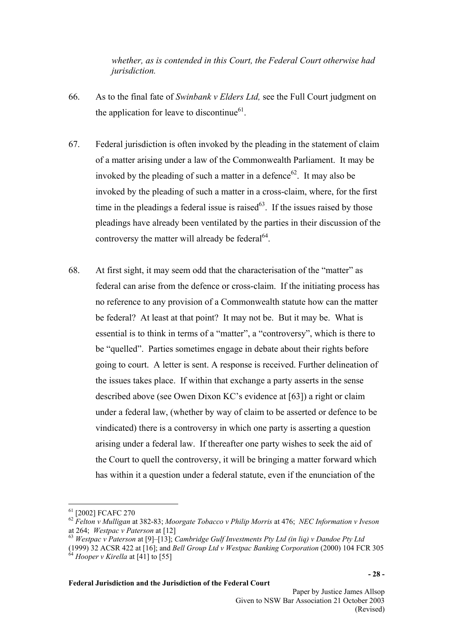*whether, as is contended in this Court, the Federal Court otherwise had jurisdiction.* 

- 66. As to the final fate of *Swinbank v Elders Ltd,* see the Full Court judgment on the application for leave to discontinue $61$ .
- 67. Federal jurisdiction is often invoked by the pleading in the statement of claim of a matter arising under a law of the Commonwealth Parliament. It may be invoked by the pleading of such a matter in a defence  $62$ . It may also be invoked by the pleading of such a matter in a cross-claim, where, for the first time in the pleadings a federal issue is raised $^{63}$ . If the issues raised by those pleadings have already been ventilated by the parties in their discussion of the controversy the matter will already be federal<sup>64</sup>.
- 68. At first sight, it may seem odd that the characterisation of the "matter" as federal can arise from the defence or cross-claim. If the initiating process has no reference to any provision of a Commonwealth statute how can the matter be federal? At least at that point? It may not be. But it may be. What is essential is to think in terms of a "matter", a "controversy", which is there to be "quelled". Parties sometimes engage in debate about their rights before going to court. A letter is sent. A response is received. Further delineation of the issues takes place. If within that exchange a party asserts in the sense described above (see Owen Dixon KC's evidence at [63]) a right or claim under a federal law, (whether by way of claim to be asserted or defence to be vindicated) there is a controversy in which one party is asserting a question arising under a federal law. If thereafter one party wishes to seek the aid of the Court to quell the controversy, it will be bringing a matter forward which has within it a question under a federal statute, even if the enunciation of the

 $\overline{a}$ 

<span id="page-27-0"></span><sup>61 [2002]</sup> FCAFC 270

<span id="page-27-1"></span><sup>62</sup> *Felton v Mulligan* at 382-83; *Moorgate Tobacco v Philip Morris* at 476; *NEC Information v Iveson*  at 264; *Westpac v Paterson* at [12]

<span id="page-27-2"></span><sup>63</sup> *Westpac v Paterson* at [9]–[13]; *Cambridge Gulf Investments Pty Ltd (in liq) v Dandoe Pty Ltd*

<span id="page-27-3"></span><sup>(1999) 32</sup> ACSR 422 at [16]; and *Bell Group Ltd v Westpac Banking Corporation* (2000) 104 FCR 305  $64$  *Hooper v Kirella* at [41] to [55]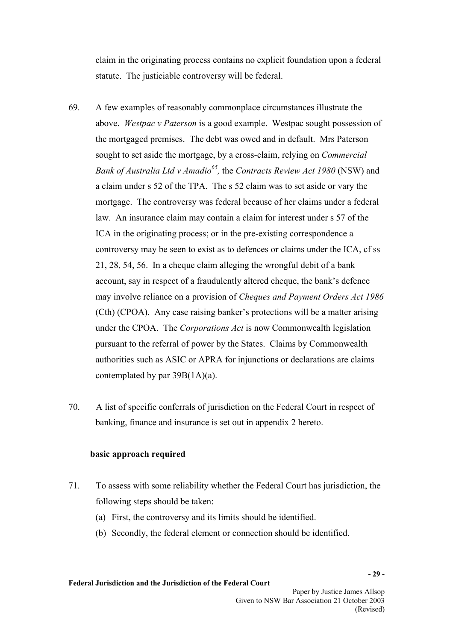claim in the originating process contains no explicit foundation upon a federal statute. The justiciable controversy will be federal.

- 69. A few examples of reasonably commonplace circumstances illustrate the above. *Westpac v Paterson* is a good example. Westpac sought possession of the mortgaged premises. The debt was owed and in default. Mrs Paterson sought to set aside the mortgage, by a cross-claim, relying on *Commercial Bank of Australia Ltd v Amadio[65,](#page-28-0)* the *Contracts Review Act 1980* (NSW) and a claim under s 52 of the TPA. The s 52 claim was to set aside or vary the mortgage. The controversy was federal because of her claims under a federal law. An insurance claim may contain a claim for interest under s 57 of the ICA in the originating process; or in the pre-existing correspondence a controversy may be seen to exist as to defences or claims under the ICA, cf ss 21, 28, 54, 56. In a cheque claim alleging the wrongful debit of a bank account, say in respect of a fraudulently altered cheque, the bank's defence may involve reliance on a provision of *Cheques and Payment Orders Act 1986*  (Cth) (CPOA). Any case raising banker's protections will be a matter arising under the CPOA. The *Corporations Act* is now Commonwealth legislation pursuant to the referral of power by the States. Claims by Commonwealth authorities such as ASIC or APRA for injunctions or declarations are claims contemplated by par 39B(1A)(a).
- 70. A list of specific conferrals of jurisdiction on the Federal Court in respect of banking, finance and insurance is set out in appendix 2 hereto.

### **basic approach required**

- <span id="page-28-0"></span>71. To assess with some reliability whether the Federal Court has jurisdiction, the following steps should be taken:
	- (a) First, the controversy and its limits should be identified.
	- (b) Secondly, the federal element or connection should be identified.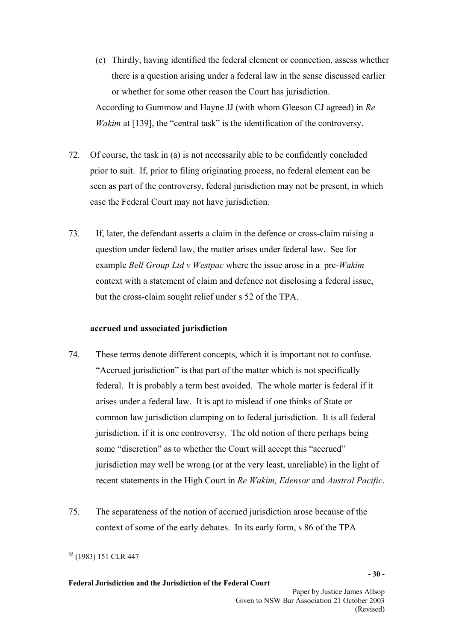- (c) Thirdly, having identified the federal element or connection, assess whether there is a question arising under a federal law in the sense discussed earlier or whether for some other reason the Court has jurisdiction. According to Gummow and Hayne JJ (with whom Gleeson CJ agreed) in *Re Wakim* at [139], the "central task" is the identification of the controversy.
- 72. Of course, the task in (a) is not necessarily able to be confidently concluded prior to suit. If, prior to filing originating process, no federal element can be seen as part of the controversy, federal jurisdiction may not be present, in which case the Federal Court may not have jurisdiction.
- 73. If, later, the defendant asserts a claim in the defence or cross-claim raising a question under federal law, the matter arises under federal law. See for example *Bell Group Ltd v Westpac* where the issue arose in a pre-*Wakim*  context with a statement of claim and defence not disclosing a federal issue, but the cross-claim sought relief under s 52 of the TPA.

# **accrued and associated jurisdiction**

- 74. These terms denote different concepts, which it is important not to confuse. "Accrued jurisdiction" is that part of the matter which is not specifically federal. It is probably a term best avoided. The whole matter is federal if it arises under a federal law. It is apt to mislead if one thinks of State or common law jurisdiction clamping on to federal jurisdiction. It is all federal jurisdiction, if it is one controversy. The old notion of there perhaps being some "discretion" as to whether the Court will accept this "accrued" jurisdiction may well be wrong (or at the very least, unreliable) in the light of recent statements in the High Court in *Re Wakim, Edensor* and *Austral Pacific*.
- 75. The separateness of the notion of accrued jurisdiction arose because of the context of some of the early debates. In its early form, s 86 of the TPA

 $\overline{a}$ 

<sup>65 (1983) 151</sup> CLR 447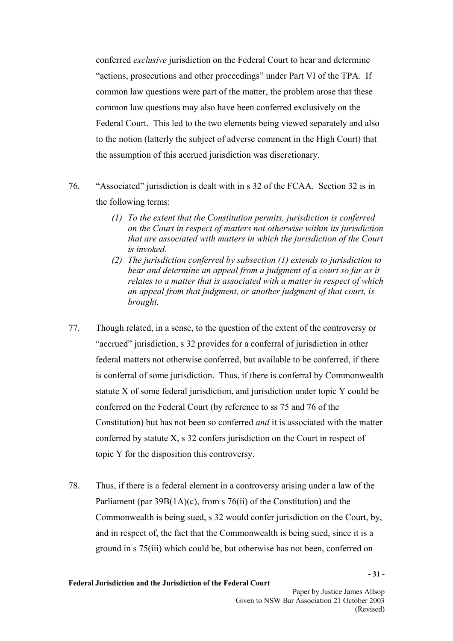conferred *exclusive* jurisdiction on the Federal Court to hear and determine "actions, prosecutions and other proceedings" under Part VI of the TPA. If common law questions were part of the matter, the problem arose that these common law questions may also have been conferred exclusively on the Federal Court. This led to the two elements being viewed separately and also to the notion (latterly the subject of adverse comment in the High Court) that the assumption of this accrued jurisdiction was discretionary.

- 76. "Associated" jurisdiction is dealt with in s 32 of the FCAA. Section 32 is in the following terms:
	- *(1) To the extent that the Constitution permits, jurisdiction is conferred on the Court in respect of matters not otherwise within its jurisdiction that are associated with matters in which the jurisdiction of the Court is invoked.*
	- *(2) The jurisdiction conferred by subsection (1) extends to jurisdiction to hear and determine an appeal from a judgment of a court so far as it relates to a matter that is associated with a matter in respect of which an appeal from that judgment, or another judgment of that court, is brought.*
- 77. Though related, in a sense, to the question of the extent of the controversy or "accrued" jurisdiction, s 32 provides for a conferral of jurisdiction in other federal matters not otherwise conferred, but available to be conferred, if there is conferral of some jurisdiction. Thus, if there is conferral by Commonwealth statute X of some federal jurisdiction, and jurisdiction under topic Y could be conferred on the Federal Court (by reference to ss 75 and 76 of the Constitution) but has not been so conferred *and* it is associated with the matter conferred by statute X, s 32 confers jurisdiction on the Court in respect of topic Y for the disposition this controversy.
- 78. Thus, if there is a federal element in a controversy arising under a law of the Parliament (par  $39B(1A)(c)$ , from s  $76(ii)$  of the Constitution) and the Commonwealth is being sued, s 32 would confer jurisdiction on the Court, by, and in respect of, the fact that the Commonwealth is being sued, since it is a ground in s 75(iii) which could be, but otherwise has not been, conferred on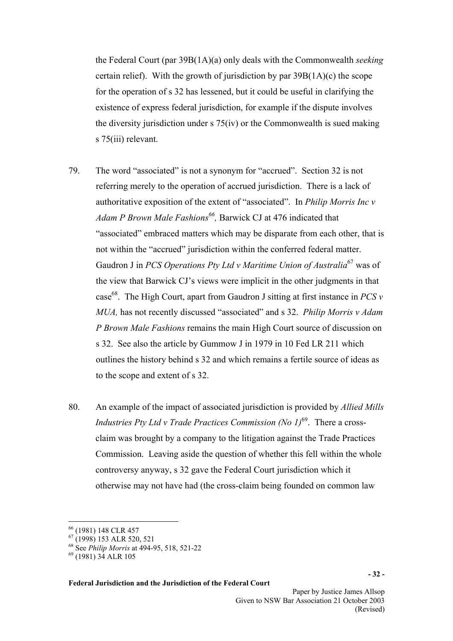the Federal Court (par 39B(1A)(a) only deals with the Commonwealth *seeking* certain relief). With the growth of jurisdiction by par  $39B(1A)(c)$  the scope for the operation of s 32 has lessened, but it could be useful in clarifying the existence of express federal jurisdiction, for example if the dispute involves the diversity jurisdiction under s 75(iv) or the Commonwealth is sued making s 75(iii) relevant.

- 79. The word "associated" is not a synonym for "accrued". Section 32 is not referring merely to the operation of accrued jurisdiction. There is a lack of authoritative exposition of the extent of "associated". In *Philip Morris Inc v Adam P Brown Male Fashions[66,](#page-31-0)* Barwick CJ at 476 indicated that "associated" embraced matters which may be disparate from each other, that is not within the "accrued" jurisdiction within the conferred federal matter. Gaudron J in *PCS Operations Pty Ltd v Maritime Union of Australia*[67](#page-31-1) was of the view that Barwick CJ's views were implicit in the other judgments in that case<sup>68</sup>. The High Court, apart from Gaudron J sitting at first instance in *PCS*  $\nu$ *MUA,* has not recently discussed "associated" and s 32. *Philip Morris v Adam P Brown Male Fashions* remains the main High Court source of discussion on s 32. See also the article by Gummow J in 1979 in 10 Fed LR 211 which outlines the history behind s 32 and which remains a fertile source of ideas as to the scope and extent of s 32.
- 80. An example of the impact of associated jurisdiction is provided by *Allied Mills Industries Pty Ltd v Trade Practices Commission (No 1)*[69.](#page-31-3) There a crossclaim was brought by a company to the litigation against the Trade Practices Commission. Leaving aside the question of whether this fell within the whole controversy anyway, s 32 gave the Federal Court jurisdiction which it otherwise may not have had (the cross-claim being founded on common law

 $\overline{a}$ 

<span id="page-31-0"></span><sup>66 (1981) 148</sup> CLR 457

<span id="page-31-1"></span> $^{67}$  (1998) 153 ALR 520, 521

<span id="page-31-2"></span><sup>68</sup> See *Philip Morris* at 494-95, 518, 521-22

<span id="page-31-3"></span><sup>69 (1981) 34</sup> ALR 105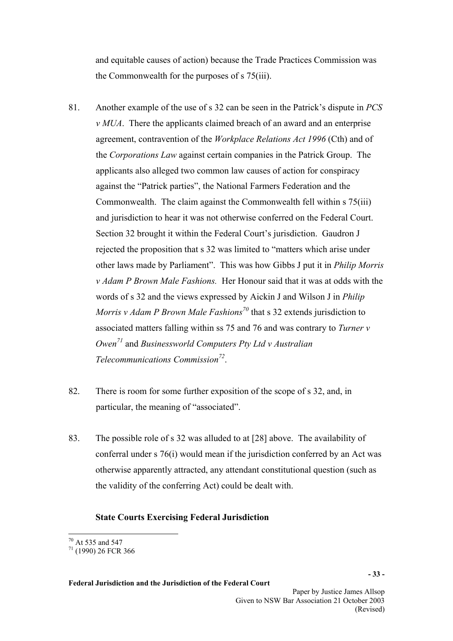and equitable causes of action) because the Trade Practices Commission was the Commonwealth for the purposes of s 75(iii).

- 81. Another example of the use of s 32 can be seen in the Patrick's dispute in *PCS v MUA*. There the applicants claimed breach of an award and an enterprise agreement, contravention of the *Workplace Relations Act 1996* (Cth) and of the *Corporations Law* against certain companies in the Patrick Group. The applicants also alleged two common law causes of action for conspiracy against the "Patrick parties", the National Farmers Federation and the Commonwealth. The claim against the Commonwealth fell within s 75(iii) and jurisdiction to hear it was not otherwise conferred on the Federal Court. Section 32 brought it within the Federal Court's jurisdiction. Gaudron J rejected the proposition that s 32 was limited to "matters which arise under other laws made by Parliament". This was how Gibbs J put it in *Philip Morris v Adam P Brown Male Fashions.* Her Honour said that it was at odds with the words of s 32 and the views expressed by Aickin J and Wilson J in *Philip Morris v Adam P Brown Male Fashions[70](#page-32-0)* that s 32 extends jurisdiction to associated matters falling within ss 75 and 76 and was contrary to *Turner v Owen[71](#page-32-1)* and *Businessworld Computers Pty Ltd v Australian Telecommunications Commission[72](#page-32-2)*.
- 82. There is room for some further exposition of the scope of s 32, and, in particular, the meaning of "associated".
- 83. The possible role of s 32 was alluded to at [28] above. The availability of conferral under s 76(i) would mean if the jurisdiction conferred by an Act was otherwise apparently attracted, any attendant constitutional question (such as the validity of the conferring Act) could be dealt with.

### **State Courts Exercising Federal Jurisdiction**

 $\overline{a}$  $70$  At 535 and 547

<span id="page-32-2"></span><span id="page-32-1"></span><span id="page-32-0"></span> $71$  (1990) 26 FCR 366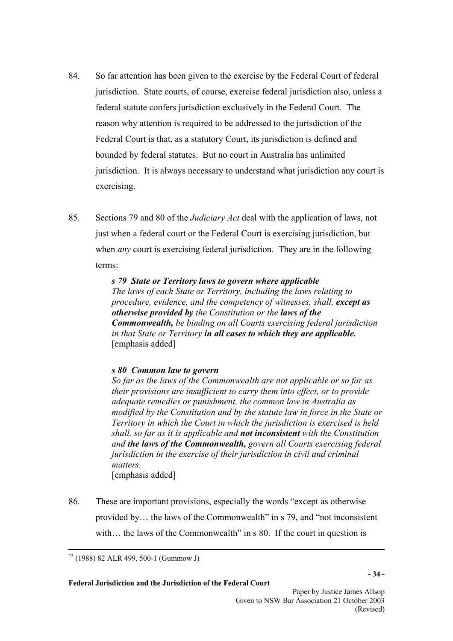- 84. So far attention has been given to the exercise by the Federal Court of federal jurisdiction. State courts, of course, exercise federal jurisdiction also, unless a federal statute confers jurisdiction exclusively in the Federal Court. The reason why attention is required to be addressed to the jurisdiction of the Federal Court is that, as a statutory Court, its jurisdiction is defined and bounded by federal statutes. But no court in Australia has unlimited jurisdiction. It is always necessary to understand what jurisdiction any court is exercising.
- 85. Sections 79 and 80 of the *Judiciary Act* deal with the application of laws, not just when a federal court or the Federal Court is exercising jurisdiction, but when *any* court is exercising federal jurisdiction. They are in the following terms:

 *s 79 State or Territory laws to govern where applicable The laws of each State or Territory, including the laws relating to procedure, evidence, and the competency of witnesses, shall, except as otherwise provided by the Constitution or the laws of the Commonwealth, be binding on all Courts exercising federal jurisdiction in that State or Territory in all cases to which they are applicable.*  [emphasis added]

### *s 80 Common law to govern*

*So far as the laws of the Commonwealth are not applicable or so far as their provisions are insufficient to carry them into effect, or to provide adequate remedies or punishment, the common law in Australia as modified by the Constitution and by the statute law in force in the State or Territory in which the Court in which the jurisdiction is exercised is held shall, so far as it is applicable and not inconsistent with the Constitution and the laws of the Commonwealth, govern all Courts exercising federal jurisdiction in the exercise of their jurisdiction in civil and criminal matters.*  [emphasis added]

86. These are important provisions, especially the words "except as otherwise provided by… the laws of the Commonwealth" in s 79, and "not inconsistent with... the laws of the Commonwealth" in s 80. If the court in question is

 $\overline{a}$ 72 (1988) 82 ALR 499, 500-1 (Gummow J)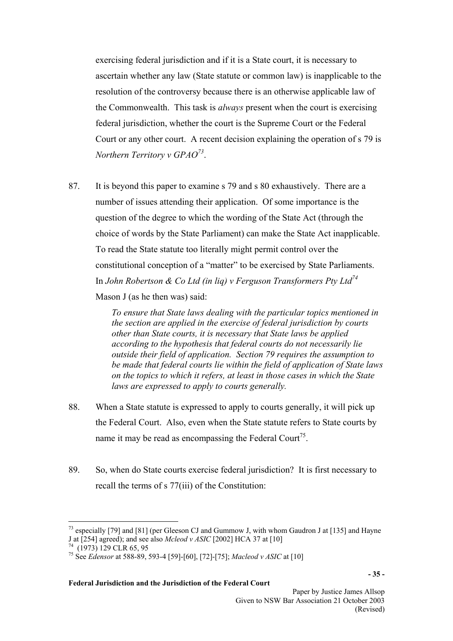exercising federal jurisdiction and if it is a State court, it is necessary to ascertain whether any law (State statute or common law) is inapplicable to the resolution of the controversy because there is an otherwise applicable law of the Commonwealth. This task is *always* present when the court is exercising federal jurisdiction, whether the court is the Supreme Court or the Federal Court or any other court. A recent decision explaining the operation of s 79 is *Northern Territory v GPAO[73](#page-34-0)*.

87. It is beyond this paper to examine s 79 and s 80 exhaustively. There are a number of issues attending their application. Of some importance is the question of the degree to which the wording of the State Act (through the choice of words by the State Parliament) can make the State Act inapplicable. To read the State statute too literally might permit control over the constitutional conception of a "matter" to be exercised by State Parliaments. In *John Robertson & Co Ltd (in liq) v Ferguson Transformers Pty Lt[d74](#page-34-1)* Mason J (as he then was) said:

> *To ensure that State laws dealing with the particular topics mentioned in the section are applied in the exercise of federal jurisdiction by courts other than State courts, it is necessary that State laws be applied according to the hypothesis that federal courts do not necessarily lie outside their field of application. Section 79 requires the assumption to be made that federal courts lie within the field of application of State laws on the topics to which it refers, at least in those cases in which the State laws are expressed to apply to courts generally.*

- 88. When a State statute is expressed to apply to courts generally, it will pick up the Federal Court. Also, even when the State statute refers to State courts by name it may be read as encompassing the Federal Court<sup>75</sup>.
- 89. So, when do State courts exercise federal jurisdiction? It is first necessary to recall the terms of s 77(iii) of the Constitution:

 $\overline{a}$ 

<span id="page-34-0"></span><sup>&</sup>lt;sup>73</sup> especially [79] and [81] (per Gleeson CJ and Gummow J, with whom Gaudron J at [135] and Hayne J at [254] agreed); and see also *Mcleod v ASIC* [2002] HCA 37 at [10]

<span id="page-34-1"></span>

<span id="page-34-2"></span><sup>74</sup> (1973) 129 CLR 65, 95 75 See *Edensor* at 588-89, 593-4 [59]-[60], [72]-[75]; *Macleod v ASIC* at [10]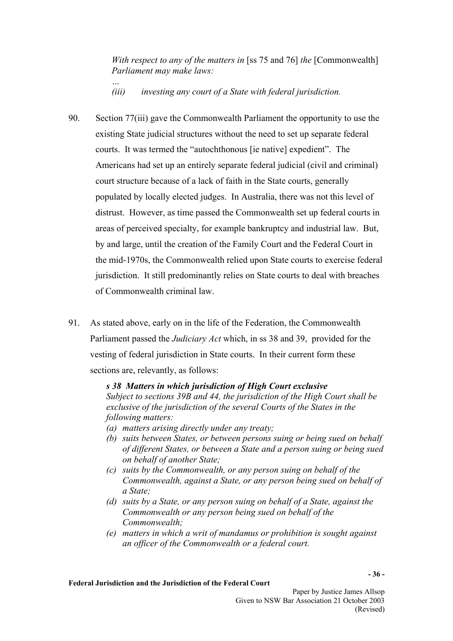*With respect to any of the matters in* [ss 75 and 76] *the* [Commonwealth] *Parliament may make laws:* 

*… (iii) investing any court of a State with federal jurisdiction.* 

- 90. Section 77(iii) gave the Commonwealth Parliament the opportunity to use the existing State judicial structures without the need to set up separate federal courts. It was termed the "autochthonous [ie native] expedient". The Americans had set up an entirely separate federal judicial (civil and criminal) court structure because of a lack of faith in the State courts, generally populated by locally elected judges. In Australia, there was not this level of distrust. However, as time passed the Commonwealth set up federal courts in areas of perceived specialty, for example bankruptcy and industrial law. But, by and large, until the creation of the Family Court and the Federal Court in the mid-1970s, the Commonwealth relied upon State courts to exercise federal jurisdiction. It still predominantly relies on State courts to deal with breaches of Commonwealth criminal law.
- 91. As stated above, early on in the life of the Federation, the Commonwealth Parliament passed the *Judiciary Act* which, in ss 38 and 39, provided for the vesting of federal jurisdiction in State courts. In their current form these sections are, relevantly, as follows:

 *s 38 Matters in which jurisdiction of High Court exclusive* 

*Subject to sections 39B and 44, the jurisdiction of the High Court shall be exclusive of the jurisdiction of the several Courts of the States in the following matters:* 

- *(a) matters arising directly under any treaty;*
- *(b) suits between States, or between persons suing or being sued on behalf of different States, or between a State and a person suing or being sued on behalf of another State;*
- *(c) suits by the Commonwealth, or any person suing on behalf of the Commonwealth, against a State, or any person being sued on behalf of a State;*
- *(d) suits by a State, or any person suing on behalf of a State, against the Commonwealth or any person being sued on behalf of the Commonwealth;*
- *(e) matters in which a writ of mandamus or prohibition is sought against an officer of the Commonwealth or a federal court.*

**- 36 -**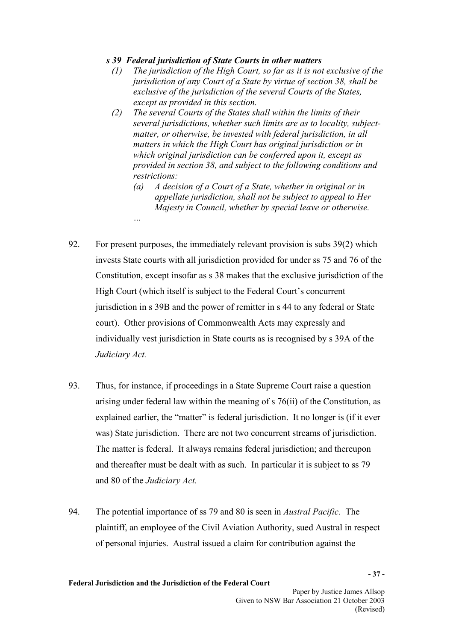## *s 39 Federal jurisdiction of State Courts in other matters*

- *(1) The jurisdiction of the High Court, so far as it is not exclusive of the jurisdiction of any Court of a State by virtue of section 38, shall be exclusive of the jurisdiction of the several Courts of the States, except as provided in this section.*
- *(2) The several Courts of the States shall within the limits of their several jurisdictions, whether such limits are as to locality, subjectmatter, or otherwise, be invested with federal jurisdiction, in all matters in which the High Court has original jurisdiction or in which original jurisdiction can be conferred upon it, except as provided in section 38, and subject to the following conditions and restrictions:* 
	- *(a) A decision of a Court of a State, whether in original or in appellate jurisdiction, shall not be subject to appeal to Her Majesty in Council, whether by special leave or otherwise.*
- 92. For present purposes, the immediately relevant provision is subs 39(2) which invests State courts with all jurisdiction provided for under ss 75 and 76 of the Constitution, except insofar as s 38 makes that the exclusive jurisdiction of the High Court (which itself is subject to the Federal Court's concurrent jurisdiction in s 39B and the power of remitter in s 44 to any federal or State court). Other provisions of Commonwealth Acts may expressly and individually vest jurisdiction in State courts as is recognised by s 39A of the *Judiciary Act.*

*…* 

- 93. Thus, for instance, if proceedings in a State Supreme Court raise a question arising under federal law within the meaning of s 76(ii) of the Constitution, as explained earlier, the "matter" is federal jurisdiction. It no longer is (if it ever was) State jurisdiction. There are not two concurrent streams of jurisdiction. The matter is federal. It always remains federal jurisdiction; and thereupon and thereafter must be dealt with as such. In particular it is subject to ss 79 and 80 of the *Judiciary Act.*
- 94. The potential importance of ss 79 and 80 is seen in *Austral Pacific.* The plaintiff, an employee of the Civil Aviation Authority, sued Austral in respect of personal injuries. Austral issued a claim for contribution against the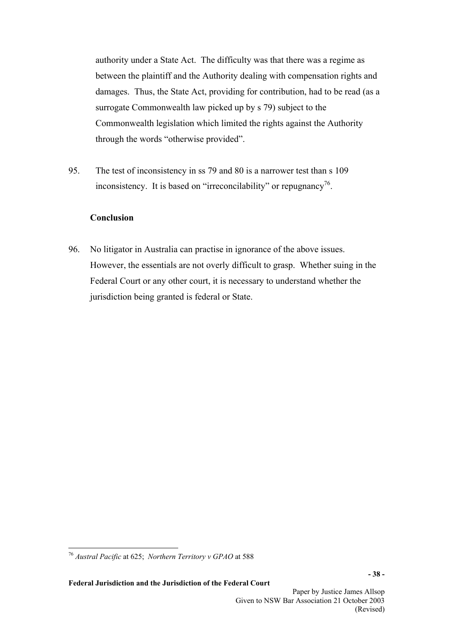authority under a State Act. The difficulty was that there was a regime as between the plaintiff and the Authority dealing with compensation rights and damages. Thus, the State Act, providing for contribution, had to be read (as a surrogate Commonwealth law picked up by s 79) subject to the Commonwealth legislation which limited the rights against the Authority through the words "otherwise provided".

95. The test of inconsistency in ss 79 and 80 is a narrower test than s 109 inconsistency. It is based on "irreconcilability" or repugnancy<sup>76</sup>.

# **Conclusion**

96. No litigator in Australia can practise in ignorance of the above issues. However, the essentials are not overly difficult to grasp. Whether suing in the Federal Court or any other court, it is necessary to understand whether the jurisdiction being granted is federal or State.

<span id="page-37-0"></span> $\overline{a}$ <sup>76</sup> *Austral Pacific* at 625; *Northern Territory v GPAO* at 588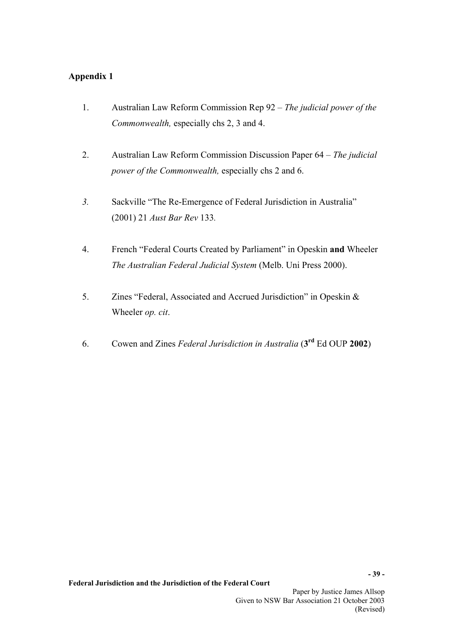# **Appendix 1**

- 1. Australian Law Reform Commission Rep 92 *The judicial power of the Commonwealth,* especially chs 2, 3 and 4.
- 2. Australian Law Reform Commission Discussion Paper 64 *The judicial power of the Commonwealth,* especially chs 2 and 6.
- *3.* Sackville "The Re-Emergence of Federal Jurisdiction in Australia" (2001) 21 *Aust Bar Rev* 133*.*
- 4. French "Federal Courts Created by Parliament" in Opeskin **and** Wheeler *The Australian Federal Judicial System* (Melb. Uni Press 2000).
- 5. Zines "Federal, Associated and Accrued Jurisdiction" in Opeskin & Wheeler *op. cit*.
- 6. Cowen and Zines *Federal Jurisdiction in Australia* (**3rd** Ed OUP **2002**)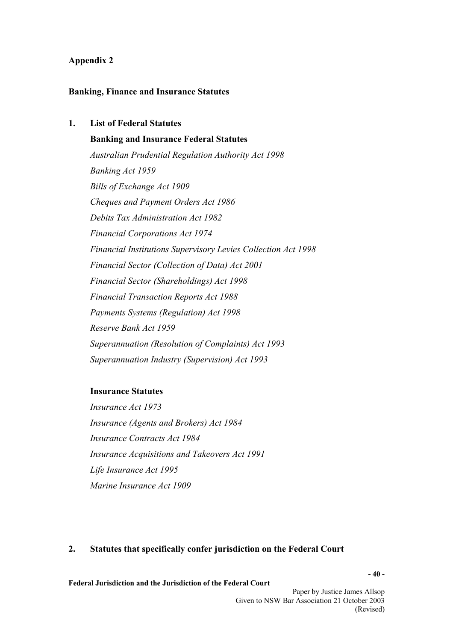### **Appendix 2**

### **Banking, Finance and Insurance Statutes**

# **1. List of Federal Statutes**

**Banking and Insurance Federal Statutes**  *Australian Prudential Regulation Authority Act 1998 Banking Act 1959 Bills of Exchange Act 1909 Cheques and Payment Orders Act 1986 Debits Tax Administration Act 1982 Financial Corporations Act 1974 Financial Institutions Supervisory Levies Collection Act 1998 Financial Sector (Collection of Data) Act 2001 Financial Sector (Shareholdings) Act 1998 Financial Transaction Reports Act 1988 Payments Systems (Regulation) Act 1998 Reserve Bank Act 1959 Superannuation (Resolution of Complaints) Act 1993 Superannuation Industry (Supervision) Act 1993* 

### **Insurance Statutes**

*Insurance Act 1973 Insurance (Agents and Brokers) Act 1984 Insurance Contracts Act 1984 Insurance Acquisitions and Takeovers Act 1991 Life Insurance Act 1995 Marine Insurance Act 1909* 

### **2. Statutes that specifically confer jurisdiction on the Federal Court**

**Federal Jurisdiction and the Jurisdiction of the Federal Court** 

Paper by Justice James Allsop Given to NSW Bar Association 21 October 2003 (Revised)

**- 40 -**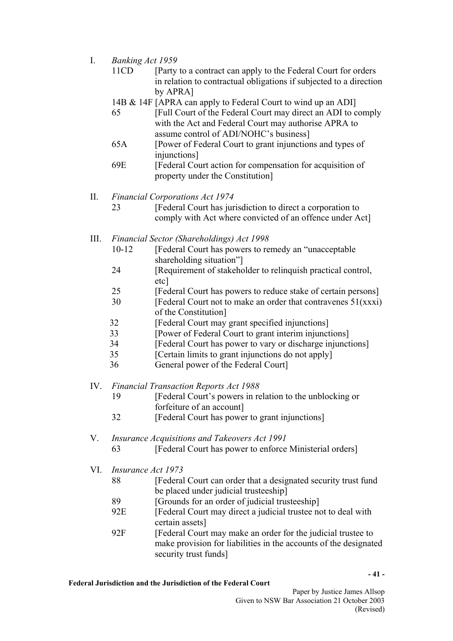- I. *Banking Act 1959* 
	- 11CD [Party to a contract can apply to the Federal Court for orders in relation to contractual obligations if subjected to a direction by APRA]
	- 14B & 14F [APRA can apply to Federal Court to wind up an ADI]
	- 65 [Full Court of the Federal Court may direct an ADI to comply with the Act and Federal Court may authorise APRA to assume control of ADI/NOHC's business]
	- 65A [Power of Federal Court to grant injunctions and types of injunctions]
	- 69E [Federal Court action for compensation for acquisition of property under the Constitution]
- II. *Financial Corporations Act 1974* 
	- 23 [Federal Court has jurisdiction to direct a corporation to comply with Act where convicted of an offence under Act]
- III. *Financial Sector (Shareholdings) Act 1998* 
	- 10-12 [Federal Court has powers to remedy an "unacceptable shareholding situation"]
	- 24 [Requirement of stakeholder to relinquish practical control, etc]
	- 25 [Federal Court has powers to reduce stake of certain persons]
	- $30$  [Federal Court not to make an order that contravenes  $51(xxxi)$ ] of the Constitution]
	- 32 [Federal Court may grant specified injunctions]
	- 33 [Power of Federal Court to grant interim injunctions]
	- 34 [Federal Court has power to vary or discharge injunctions]
	- 35 [Certain limits to grant injunctions do not apply]
	- 36 General power of the Federal Court]
- IV. *Financial Transaction Reports Act 1988* 
	- 19 [Federal Court's powers in relation to the unblocking or forfeiture of an account]
	- 32 [Federal Court has power to grant injunctions]
- V. *Insurance Acquisitions and Takeovers Act 1991* 
	- 63 [Federal Court has power to enforce Ministerial orders]
- VI. *Insurance Act 1973* 
	- 88 **IFEDERAL FR** [Federal Court can order that a designated security trust fund be placed under judicial trusteeship]
	- 89 [Grounds for an order of judicial trusteeship]
	- 92E [Federal Court may direct a judicial trustee not to deal with certain assets]
	- 92F [Federal Court may make an order for the judicial trustee to make provision for liabilities in the accounts of the designated security trust funds]

**- 41 -**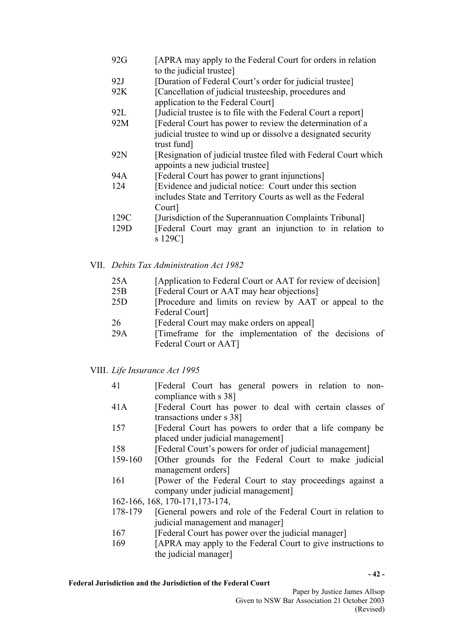- 92G [APRA may apply to the Federal Court for orders in relation to the judicial trustee]
- 92J [Duration of Federal Court's order for judicial trustee]
- 92K [Cancellation of judicial trusteeship, procedures and application to the Federal Court]
- 92L [Judicial trustee is to file with the Federal Court a report]
- 92M [Federal Court has power to review the determination of a judicial trustee to wind up or dissolve a designated security trust fund]
- 92N [Resignation of judicial trustee filed with Federal Court which appoints a new judicial trustee]
- 94A [Federal Court has power to grant injunctions]
- 124 [Evidence and judicial notice: Court under this section includes State and Territory Courts as well as the Federal Court]
- 129C [Jurisdiction of the Superannuation Complaints Tribunal]
- 129D [Federal Court may grant an injunction to in relation to s 129C]
- VII. *Debits Tax Administration Act 1982* 
	- 25A [Application to Federal Court or AAT for review of decision]
	- 25B [Federal Court or AAT may hear objections]
	- 25D [Procedure and limits on review by AAT or appeal to the Federal Court]
	- 26 [Federal Court may make orders on appeal]
	- 29A [Timeframe for the implementation of the decisions of Federal Court or AAT]
- VIII. *Life Insurance Act 1995* 
	- 41 [Federal Court has general powers in relation to noncompliance with s 38]
	- 41A [Federal Court has power to deal with certain classes of transactions under s 38]
	- 157 [Federal Court has powers to order that a life company be placed under judicial management]
	- 158 [Federal Court's powers for order of judicial management]
	- 159-160 [Other grounds for the Federal Court to make judicial management orders]
	- 161 **IDO** [Power of the Federal Court to stay proceedings against a company under judicial management]
	- 162-166, 168, 170-171,173-174,
	- 178-179 [General powers and role of the Federal Court in relation to judicial management and manager]
	- 167 [Federal Court has power over the judicial manager]
	- 169 [APRA may apply to the Federal Court to give instructions to the judicial manager]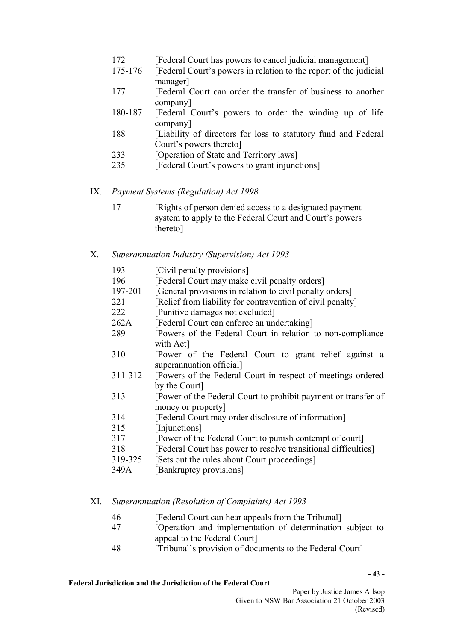- 172 [Federal Court has powers to cancel judicial management]
- 175-176 [Federal Court's powers in relation to the report of the judicial manager]
- 177 [Federal Court can order the transfer of business to another company]
- 180-187 [Federal Court's powers to order the winding up of life company]
- 188 [Liability of directors for loss to statutory fund and Federal Court's powers thereto]
- 233 [Operation of State and Territory laws]
- 235 [Federal Court's powers to grant injunctions]
- IX. *Payment Systems (Regulation) Act 1998* 
	- 17 [Rights of person denied access to a designated payment system to apply to the Federal Court and Court's powers thereto]
- X. *Superannuation Industry (Supervision) Act 1993*

|  | 193 |  |  | [Civil penalty provisions] |
|--|-----|--|--|----------------------------|
|--|-----|--|--|----------------------------|

- 196 [Federal Court may make civil penalty orders]
- 197-201 [General provisions in relation to civil penalty orders]
- 221 [Relief from liability for contravention of civil penalty]
- 222 [Punitive damages not excluded]
- 262A [Federal Court can enforce an undertaking]
- 289 [Powers of the Federal Court in relation to non-compliance with Act]
- 310 [Power of the Federal Court to grant relief against a superannuation official]
- 311-312 [Powers of the Federal Court in respect of meetings ordered by the Court]
- 313 [Power of the Federal Court to prohibit payment or transfer of money or property]
- 314 [Federal Court may order disclosure of information]
- 315 [Injunctions]
- 317 [Power of the Federal Court to punish contempt of court]
- 318 [Federal Court has power to resolve transitional difficulties]
- 319-325 [Sets out the rules about Court proceedings]
- 349A [Bankruptcy provisions]

# XI. *Superannuation (Resolution of Complaints) Act 1993*

- 46 [Federal Court can hear appeals from the Tribunal]
- 47 [Operation and implementation of determination subject to appeal to the Federal Court]
- 48 [Tribunal's provision of documents to the Federal Court]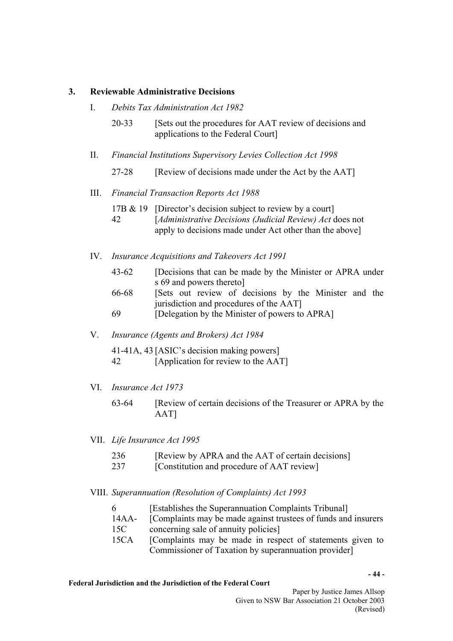### **3. Reviewable Administrative Decisions**

- I. *Debits Tax Administration Act 1982* 
	- 20-33 [Sets out the procedures for AAT review of decisions and applications to the Federal Court]
- II. *Financial Institutions Supervisory Levies Collection Act 1998* 
	- 27-28 [Review of decisions made under the Act by the AAT]

### III. *Financial Transaction Reports Act 1988*

- 17B & 19 [Director's decision subject to review by a court]
- 42 [*Administrative Decisions (Judicial Review) Act* does not apply to decisions made under Act other than the above]
- IV. *Insurance Acquisitions and Takeovers Act 1991*
	- 43-62 [Decisions that can be made by the Minister or APRA under s 69 and powers thereto]
	- 66-68 [Sets out review of decisions by the Minister and the jurisdiction and procedures of the AAT]
	- 69 [Delegation by the Minister of powers to APRA]

### V. *Insurance (Agents and Brokers) Act 1984*

41-41A, 43 [ASIC's decision making powers] 42 [Application for review to the AAT]

- VI.*Insurance Act 1973*
	- 63-64 [Review of certain decisions of the Treasurer or APRA by the AAT]
- VII.*Life Insurance Act 1995* 
	- 236 [Review by APRA and the AAT of certain decisions]
	- 237 [Constitution and procedure of AAT review]

### VIII. *Superannuation (Resolution of Complaints) Act 1993*

- 6 [Establishes the Superannuation Complaints Tribunal]
- 14AA- [Complaints may be made against trustees of funds and insurers 15C concerning sale of annuity policies]
- 15CA [Complaints may be made in respect of statements given to Commissioner of Taxation by superannuation provider]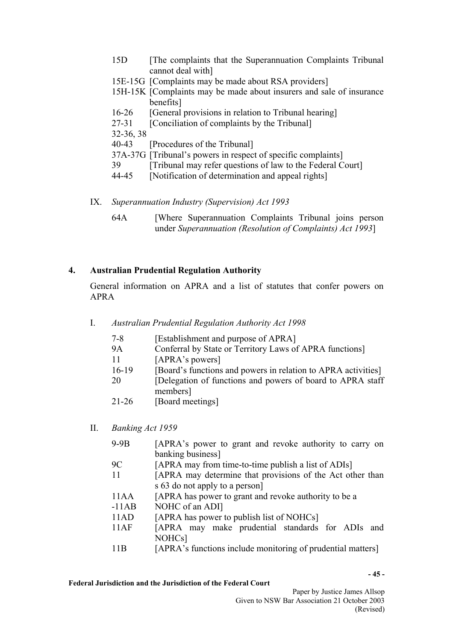- 15D [The complaints that the Superannuation Complaints Tribunal cannot deal with]
- 15E-15G [Complaints may be made about RSA providers]
- 15H-15K [Complaints may be made about insurers and sale of insurance benefits]
- 16-26 [General provisions in relation to Tribunal hearing]
- 27-31 [Conciliation of complaints by the Tribunal]

32-36, 38

- 40-43 [Procedures of the Tribunal]
- 37A-37G [Tribunal's powers in respect of specific complaints]
- 39 [Tribunal may refer questions of law to the Federal Court]
- 44-45 [Notification of determination and appeal rights]
- IX. *Superannuation Industry (Supervision) Act 1993*
	- 64A [Where Superannuation Complaints Tribunal joins person under *Superannuation (Resolution of Complaints) Act 1993*]

# **4. Australian Prudential Regulation Authority**

General information on APRA and a list of statutes that confer powers on APRA

- I. *Australian Prudential Regulation Authority Act 1998* 
	- 7-8 [Establishment and purpose of APRA]
	- 9A Conferral by State or Territory Laws of APRA functions]
	- 11 [APRA's powers]
	- 16-19 [Board's functions and powers in relation to APRA activities]
	- 20 [Delegation of functions and powers of board to APRA staff members]
	- 21-26 [Board meetings]
- II. *Banking Act 1959*

| $9-9B$  | [APRA's power to grant and revoke authority to carry on     |
|---------|-------------------------------------------------------------|
|         | banking business]                                           |
| 9C      | [APRA may from time-to-time publish a list of ADIs]         |
| 11      | [APRA may determine that provisions of the Act other than   |
|         | s 63 do not apply to a person                               |
| 11AA    | [APRA has power to grant and revoke authority to be a       |
| $-11AB$ | NOHC of an ADI]                                             |
| 11AD    | [APRA has power to publish list of NOHCs]                   |
| 11AF    | [APRA may make prudential standards for ADIs and            |
|         | NOHC <sub>s</sub> ]                                         |
| 11B     | [APRA's functions include monitoring of prudential matters] |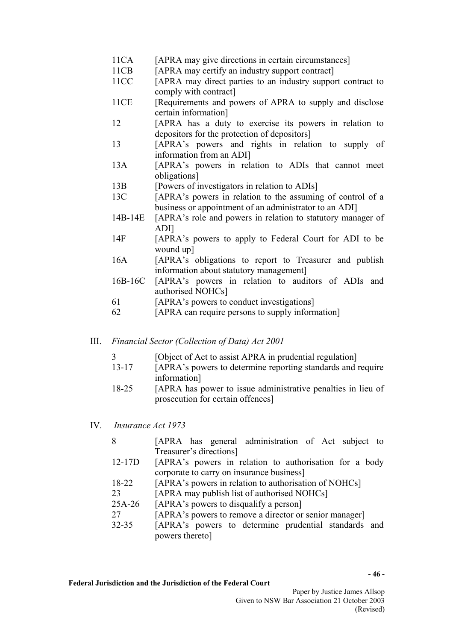- 11CA [APRA may give directions in certain circumstances]
- 11CB [APRA may certify an industry support contract]
- 11CC [APRA may direct parties to an industry support contract to comply with contract]
- 11CE [Requirements and powers of APRA to supply and disclose] certain information]
- 12 [APRA has a duty to exercise its powers in relation to depositors for the protection of depositors]
- 13 [APRA's powers and rights in relation to supply of information from an ADI]
- 13A [APRA's powers in relation to ADIs that cannot meet obligations]
- 13B [Powers of investigators in relation to ADIs]
- 13C [APRA's powers in relation to the assuming of control of a business or appointment of an administrator to an ADI]
- 14B-14E [APRA's role and powers in relation to statutory manager of ADI]
- 14F [APRA's powers to apply to Federal Court for ADI to be wound up]
- 16A [APRA's obligations to report to Treasurer and publish information about statutory management]
- 16B-16C [APRA's powers in relation to auditors of ADIs and authorised NOHCs]
- 61 [APRA's powers to conduct investigations]
- 62 [APRA can require persons to supply information]
- III. *Financial Sector (Collection of Data) Act 2001*
	- 3 [Object of Act to assist APRA in prudential regulation]
	- 13-17 [APRA's powers to determine reporting standards and require information]
	- 18-25 [APRA has power to issue administrative penalties in lieu of prosecution for certain offences]
- IV.*Insurance Act 1973*

| 8          | [APRA has general administration of Act subject to     |
|------------|--------------------------------------------------------|
|            | Treasurer's directions]                                |
| $12 - 17D$ | [APRA's powers in relation to authorisation for a body |
|            | corporate to carry on insurance business]              |
| 18-22      | [APRA's powers in relation to authorisation of NOHCs]  |
| 23         | [APRA may publish list of authorised NOHCs]            |
| $25A-26$   | [APRA's powers to disqualify a person]                 |
| 27         | [APRA's powers to remove a director or senior manager] |
| $32 - 35$  | [APRA's powers to determine prudential standards and   |
|            | powers thereto]                                        |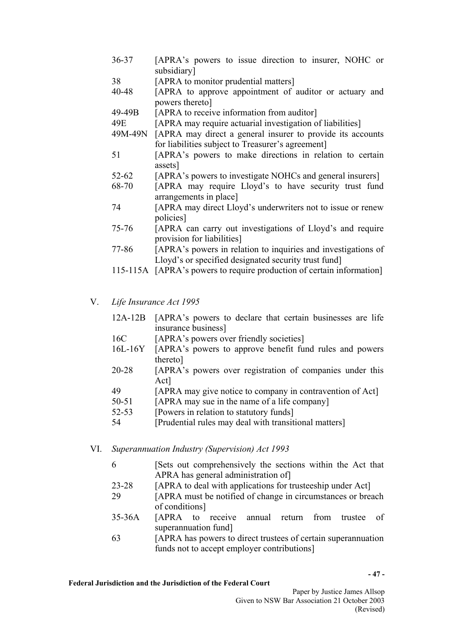- 36-37 [APRA's powers to issue direction to insurer, NOHC or subsidiary]
- 38 [APRA to monitor prudential matters]
- 40-48 [APRA to approve appointment of auditor or actuary and powers thereto]
- 49-49B [APRA to receive information from auditor]
- 49E [APRA may require actuarial investigation of liabilities]
- 49M-49N [APRA may direct a general insurer to provide its accounts for liabilities subject to Treasurer's agreement]
- 51 [APRA's powers to make directions in relation to certain assets]
- 52-62 [APRA's powers to investigate NOHCs and general insurers]
- 68-70 [APRA may require Lloyd's to have security trust fund arrangements in place]
- 74 [APRA may direct Lloyd's underwriters not to issue or renew policies]
- 75-76 [APRA can carry out investigations of Lloyd's and require provision for liabilities]
- 77-86 [APRA's powers in relation to inquiries and investigations of Lloyd's or specified designated security trust fund]
- 115-115A [APRA's powers to require production of certain information]
- V. *Life Insurance Act 1995*
	- 12A-12B [APRA's powers to declare that certain businesses are life insurance business]
	- 16C [APRA's powers over friendly societies]
	- 16L-16Y [APRA's powers to approve benefit fund rules and powers thereto]
	- 20-28 [APRA's powers over registration of companies under this Act]
	- 49 [APRA may give notice to company in contravention of Act]
	- 50-51 [APRA may sue in the name of a life company]
	- 52-53 [Powers in relation to statutory funds]
	- 54 [Prudential rules may deal with transitional matters]
- VI. *Superannuation Industry (Supervision) Act 1993*
	- 6 [Sets out comprehensively the sections within the Act that APRA has general administration of]
	- 23-28 [APRA to deal with applications for trusteeship under Act]
	- 29 [APRA must be notified of change in circumstances or breach of conditions]
	- 35-36A [APRA to receive annual return from trustee of superannuation fund]
	- 63 [APRA has powers to direct trustees of certain superannuation funds not to accept employer contributions]